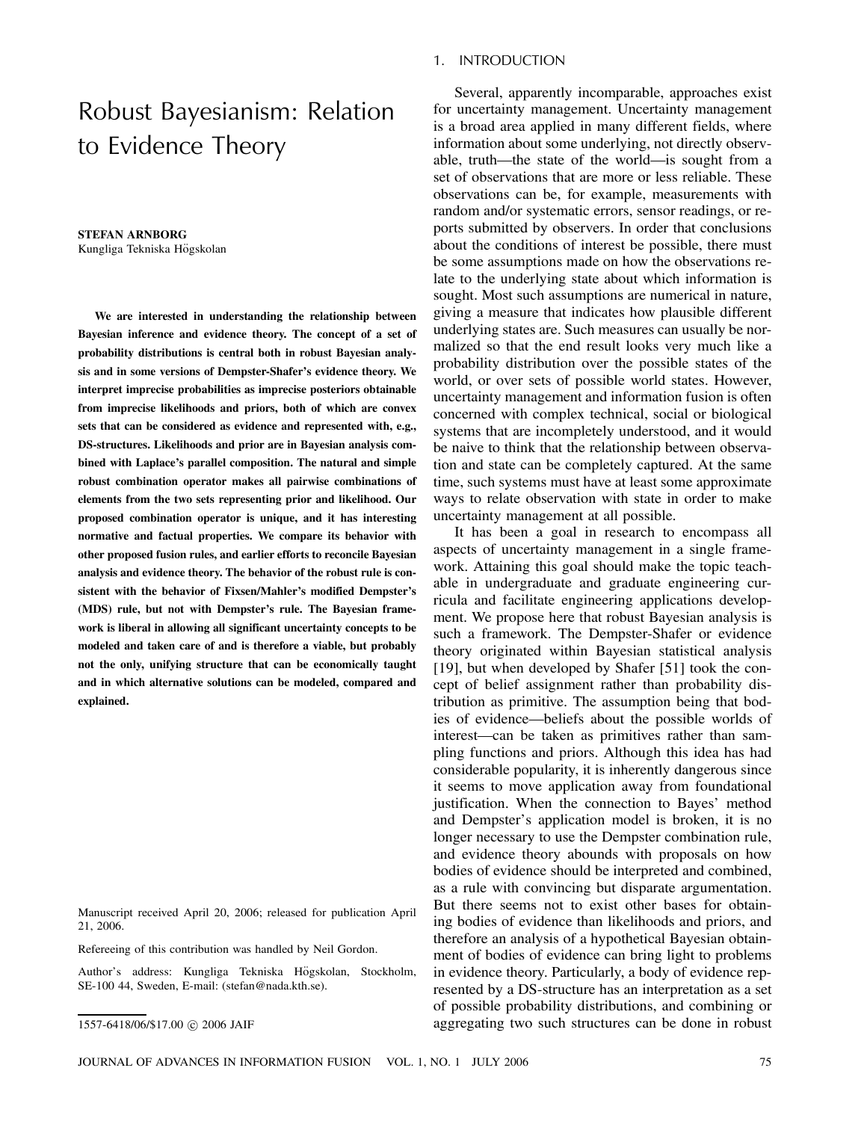# Robust Bayesianism: Relation to Evidence Theory

**STEFAN ARNBORG** Kungliga Tekniska Högskolan

**We are interested in understanding the relationship between Bayesian inference and evidence theory. The concept of a set of probability distributions is central both in robust Bayesian analysis and in some versions of Dempster-Shafer's evidence theory. We interpret imprecise probabilities as imprecise posteriors obtainable from imprecise likelihoods and priors, both of which are convex sets that can be considered as evidence and represented with, e.g., DS-structures. Likelihoods and prior are in Bayesian analysis combined with Laplace's parallel composition. The natural and simple robust combination operator makes all pairwise combinations of elements from the two sets representing prior and likelihood. Our proposed combination operator is unique, and it has interesting normative and factual properties. We compare its behavior with other proposed fusion rules, and earlier efforts to reconcile Bayesian analysis and evidence theory. The behavior of the robust rule is consistent with the behavior of Fixsen/Mahler's modified Dempster's (MDS) rule, but not with Dempster's rule. The Bayesian framework is liberal in allowing all significant uncertainty concepts to be modeled and taken care of and is therefore a viable, but probably not the only, unifying structure that can be economically taught and in which alternative solutions can be modeled, compared and explained.**

Manuscript received April 20, 2006; released for publication April 21, 2006.

Refereeing of this contribution was handled by Neil Gordon.

Author's address: Kungliga Tekniska Högskolan, Stockholm, SE-100 44, Sweden, E-mail: (stefan@nada.kth.se).

## 1. INTRODUCTION

Several, apparently incomparable, approaches exist for uncertainty management. Uncertainty management is a broad area applied in many different fields, where information about some underlying, not directly observable, truth–the state of the world–is sought from a set of observations that are more or less reliable. These observations can be, for example, measurements with random and/or systematic errors, sensor readings, or reports submitted by observers. In order that conclusions about the conditions of interest be possible, there must be some assumptions made on how the observations relate to the underlying state about which information is sought. Most such assumptions are numerical in nature, giving a measure that indicates how plausible different underlying states are. Such measures can usually be normalized so that the end result looks very much like a probability distribution over the possible states of the world, or over sets of possible world states. However, uncertainty management and information fusion is often concerned with complex technical, social or biological systems that are incompletely understood, and it would be naive to think that the relationship between observation and state can be completely captured. At the same time, such systems must have at least some approximate ways to relate observation with state in order to make uncertainty management at all possible.

It has been a goal in research to encompass all aspects of uncertainty management in a single framework. Attaining this goal should make the topic teachable in undergraduate and graduate engineering curricula and facilitate engineering applications development. We propose here that robust Bayesian analysis is such a framework. The Dempster-Shafer or evidence theory originated within Bayesian statistical analysis [19], but when developed by Shafer [51] took the concept of belief assignment rather than probability distribution as primitive. The assumption being that bodies of evidence–beliefs about the possible worlds of interest–can be taken as primitives rather than sampling functions and priors. Although this idea has had considerable popularity, it is inherently dangerous since it seems to move application away from foundational justification. When the connection to Bayes' method and Dempster's application model is broken, it is no longer necessary to use the Dempster combination rule, and evidence theory abounds with proposals on how bodies of evidence should be interpreted and combined, as a rule with convincing but disparate argumentation. But there seems not to exist other bases for obtaining bodies of evidence than likelihoods and priors, and therefore an analysis of a hypothetical Bayesian obtainment of bodies of evidence can bring light to problems in evidence theory. Particularly, a body of evidence represented by a DS-structure has an interpretation as a set of possible probability distributions, and combining or aggregating two such structures can be done in robust

<sup>1557-6418/06/\$17.00 © 2006</sup> JAIF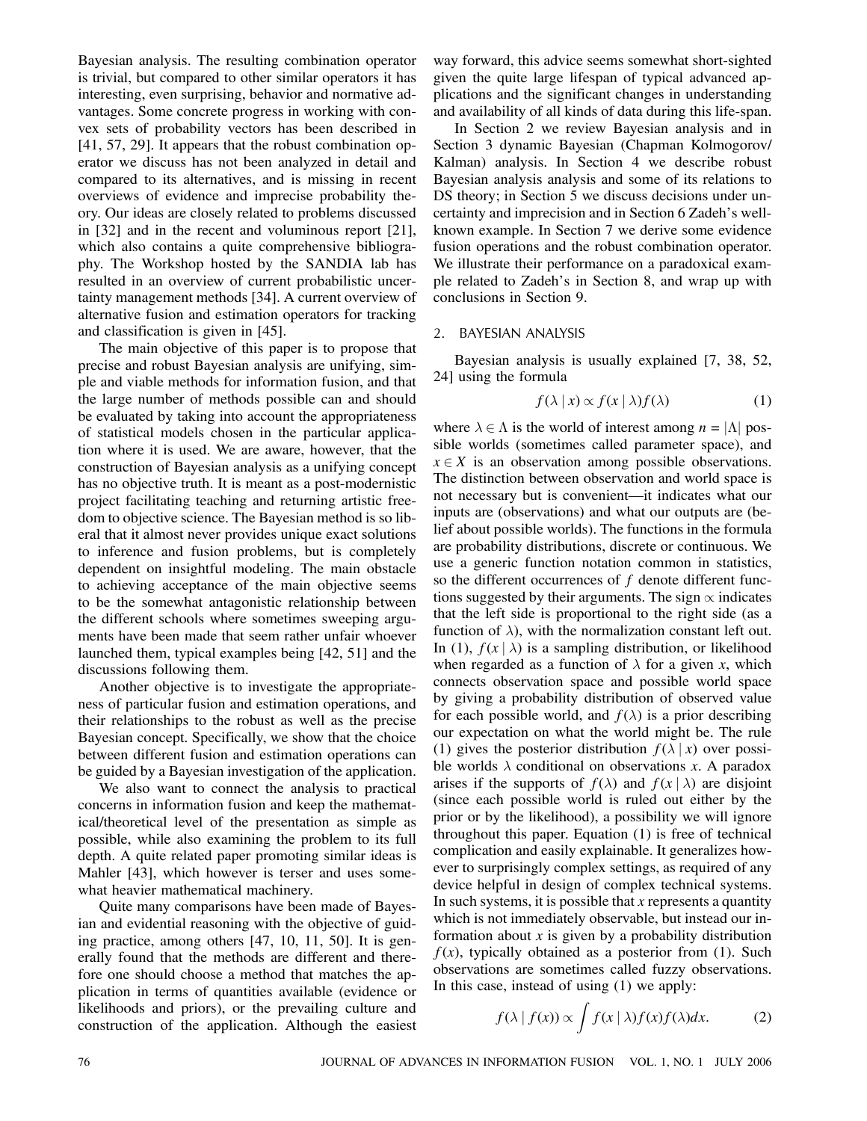Bayesian analysis. The resulting combination operator is trivial, but compared to other similar operators it has interesting, even surprising, behavior and normative advantages. Some concrete progress in working with convex sets of probability vectors has been described in [41, 57, 29]. It appears that the robust combination operator we discuss has not been analyzed in detail and compared to its alternatives, and is missing in recent overviews of evidence and imprecise probability theory. Our ideas are closely related to problems discussed in [32] and in the recent and voluminous report [21], which also contains a quite comprehensive bibliography. The Workshop hosted by the SANDIA lab has resulted in an overview of current probabilistic uncertainty management methods [34]. A current overview of alternative fusion and estimation operators for tracking and classification is given in [45].

The main objective of this paper is to propose that precise and robust Bayesian analysis are unifying, simple and viable methods for information fusion, and that the large number of methods possible can and should be evaluated by taking into account the appropriateness of statistical models chosen in the particular application where it is used. We are aware, however, that the construction of Bayesian analysis as a unifying concept has no objective truth. It is meant as a post-modernistic project facilitating teaching and returning artistic freedom to objective science. The Bayesian method is so liberal that it almost never provides unique exact solutions to inference and fusion problems, but is completely dependent on insightful modeling. The main obstacle to achieving acceptance of the main objective seems to be the somewhat antagonistic relationship between the different schools where sometimes sweeping arguments have been made that seem rather unfair whoever launched them, typical examples being [42, 51] and the discussions following them.

Another objective is to investigate the appropriateness of particular fusion and estimation operations, and their relationships to the robust as well as the precise Bayesian concept. Specifically, we show that the choice between different fusion and estimation operations can be guided by a Bayesian investigation of the application.

We also want to connect the analysis to practical concerns in information fusion and keep the mathematical/theoretical level of the presentation as simple as possible, while also examining the problem to its full depth. A quite related paper promoting similar ideas is Mahler [43], which however is terser and uses somewhat heavier mathematical machinery.

Quite many comparisons have been made of Bayesian and evidential reasoning with the objective of guiding practice, among others [47, 10, 11, 50]. It is generally found that the methods are different and therefore one should choose a method that matches the application in terms of quantities available (evidence or likelihoods and priors), or the prevailing culture and construction of the application. Although the easiest way forward, this advice seems somewhat short-sighted given the quite large lifespan of typical advanced applications and the significant changes in understanding and availability of all kinds of data during this life-span.

In Section 2 we review Bayesian analysis and in Section 3 dynamic Bayesian (Chapman Kolmogorov/ Kalman) analysis. In Section 4 we describe robust Bayesian analysis analysis and some of its relations to DS theory; in Section 5 we discuss decisions under uncertainty and imprecision and in Section 6 Zadeh's wellknown example. In Section 7 we derive some evidence fusion operations and the robust combination operator. We illustrate their performance on a paradoxical example related to Zadeh's in Section 8, and wrap up with conclusions in Section 9.

## 2. BAYESIAN ANALYSIS

Bayesian analysis is usually explained [7, 38, 52, 24] using the formula

$$
f(\lambda \mid x) \propto f(x \mid \lambda) f(\lambda) \tag{1}
$$

where  $\lambda \in \Lambda$  is the world of interest among  $n = |\Lambda|$  possible worlds (sometimes called parameter space), and  $x \in X$  is an observation among possible observations. The distinction between observation and world space is not necessary but is convenient–it indicates what our inputs are (observations) and what our outputs are (belief about possible worlds). The functions in the formula are probability distributions, discrete or continuous. We use a generic function notation common in statistics, so the different occurrences of  $f$  denote different functions suggested by their arguments. The sign  $\propto$  indicates that the left side is proportional to the right side (as a function of  $\lambda$ ), with the normalization constant left out. In (1),  $f(x | \lambda)$  is a sampling distribution, or likelihood when regarded as a function of  $\lambda$  for a given x, which connects observation space and possible world space by giving a probability distribution of observed value for each possible world, and  $f(\lambda)$  is a prior describing our expectation on what the world might be. The rule (1) gives the posterior distribution  $f(\lambda | x)$  over possible worlds  $\lambda$  conditional on observations x. A paradox arises if the supports of  $f(\lambda)$  and  $f(x | \lambda)$  are disjoint (since each possible world is ruled out either by the prior or by the likelihood), a possibility we will ignore throughout this paper. Equation (1) is free of technical complication and easily explainable. It generalizes however to surprisingly complex settings, as required of any device helpful in design of complex technical systems. In such systems, it is possible that  $x$  represents a quantity which is not immediately observable, but instead our information about  $x$  is given by a probability distribution  $f(x)$ , typically obtained as a posterior from (1). Such observations are sometimes called fuzzy observations. In this case, instead of using (1) we apply:

$$
f(\lambda \mid f(x)) \propto \int f(x \mid \lambda) f(x) f(\lambda) dx.
$$
 (2)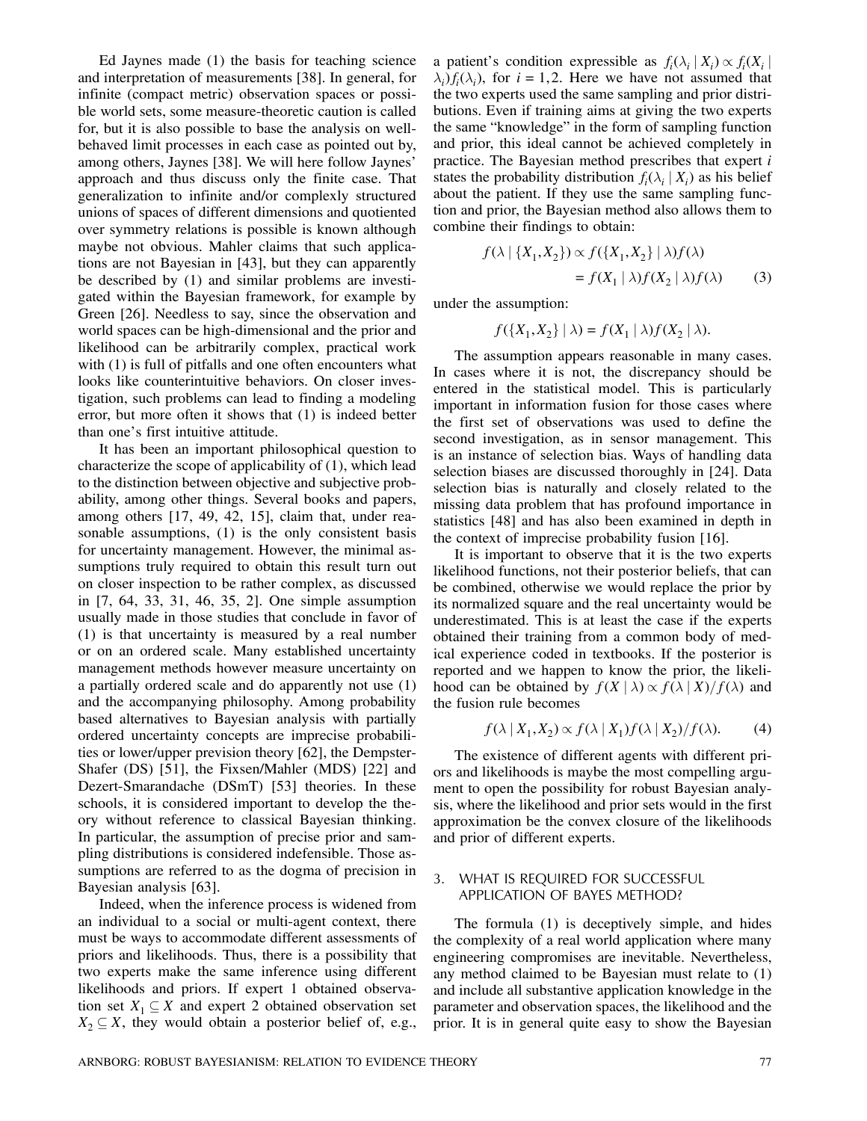Ed Jaynes made (1) the basis for teaching science and interpretation of measurements [38]. In general, for infinite (compact metric) observation spaces or possible world sets, some measure-theoretic caution is called for, but it is also possible to base the analysis on wellbehaved limit processes in each case as pointed out by, among others, Jaynes [38]. We will here follow Jaynes' approach and thus discuss only the finite case. That generalization to infinite and/or complexly structured unions of spaces of different dimensions and quotiented over symmetry relations is possible is known although maybe not obvious. Mahler claims that such applications are not Bayesian in [43], but they can apparently be described by (1) and similar problems are investigated within the Bayesian framework, for example by Green [26]. Needless to say, since the observation and world spaces can be high-dimensional and the prior and likelihood can be arbitrarily complex, practical work with (1) is full of pitfalls and one often encounters what looks like counterintuitive behaviors. On closer investigation, such problems can lead to finding a modeling error, but more often it shows that (1) is indeed better than one's first intuitive attitude.

It has been an important philosophical question to characterize the scope of applicability of (1), which lead to the distinction between objective and subjective probability, among other things. Several books and papers, among others [17, 49, 42, 15], claim that, under reasonable assumptions, (1) is the only consistent basis for uncertainty management. However, the minimal assumptions truly required to obtain this result turn out on closer inspection to be rather complex, as discussed in [7, 64, 33, 31, 46, 35, 2]. One simple assumption usually made in those studies that conclude in favor of (1) is that uncertainty is measured by a real number or on an ordered scale. Many established uncertainty management methods however measure uncertainty on a partially ordered scale and do apparently not use (1) and the accompanying philosophy. Among probability based alternatives to Bayesian analysis with partially ordered uncertainty concepts are imprecise probabilities or lower/upper prevision theory [62], the Dempster-Shafer (DS) [51], the Fixsen/Mahler (MDS) [22] and Dezert-Smarandache (DSmT) [53] theories. In these schools, it is considered important to develop the theory without reference to classical Bayesian thinking. In particular, the assumption of precise prior and sampling distributions is considered indefensible. Those assumptions are referred to as the dogma of precision in Bayesian analysis [63].

Indeed, when the inference process is widened from an individual to a social or multi-agent context, there must be ways to accommodate different assessments of priors and likelihoods. Thus, there is a possibility that two experts make the same inference using different likelihoods and priors. If expert 1 obtained observation set  $X_1 \subseteq X$  and expert 2 obtained observation set  $X_2 \subseteq X$ , they would obtain a posterior belief of, e.g.,

a patient's condition expressible as  $f_i(\lambda_i | X_i) \propto f_i(X_i | X_i)$  $\lambda_i$ ) $f_i(\lambda_i)$ , for  $i = 1,2$ . Here we have not assumed that the two experts used the same sampling and prior distributions. Even if training aims at giving the two experts the same "knowledge" in the form of sampling function and prior, this ideal cannot be achieved completely in practice. The Bayesian method prescribes that expert i states the probability distribution  $f_i(\lambda_i | X_i)$  as his belief about the patient. If they use the same sampling function and prior, the Bayesian method also allows them to combine their findings to obtain:

$$
f(\lambda \mid \{X_1, X_2\}) \propto f(\{X_1, X_2\} \mid \lambda) f(\lambda)
$$
  
=  $f(X_1 \mid \lambda) f(X_2 \mid \lambda) f(\lambda)$  (3)

under the assumption:

$$
f(\lbrace X_1, X_2 \rbrace \mid \lambda) = f(X_1 \mid \lambda) f(X_2 \mid \lambda).
$$

The assumption appears reasonable in many cases. In cases where it is not, the discrepancy should be entered in the statistical model. This is particularly important in information fusion for those cases where the first set of observations was used to define the second investigation, as in sensor management. This is an instance of selection bias. Ways of handling data selection biases are discussed thoroughly in [24]. Data selection bias is naturally and closely related to the missing data problem that has profound importance in statistics [48] and has also been examined in depth in the context of imprecise probability fusion [16].

It is important to observe that it is the two experts likelihood functions, not their posterior beliefs, that can be combined, otherwise we would replace the prior by its normalized square and the real uncertainty would be underestimated. This is at least the case if the experts obtained their training from a common body of medical experience coded in textbooks. If the posterior is reported and we happen to know the prior, the likelihood can be obtained by  $f(X | \lambda) \propto f(\lambda | X)/f(\lambda)$  and the fusion rule becomes

$$
f(\lambda \mid X_1, X_2) \propto f(\lambda \mid X_1) f(\lambda \mid X_2) / f(\lambda). \tag{4}
$$

The existence of different agents with different priors and likelihoods is maybe the most compelling argument to open the possibility for robust Bayesian analysis, where the likelihood and prior sets would in the first approximation be the convex closure of the likelihoods and prior of different experts.

# 3. WHAT IS REQUIRED FOR SUCCESSFUL APPLICATION OF BAYES METHOD?

The formula (1) is deceptively simple, and hides the complexity of a real world application where many engineering compromises are inevitable. Nevertheless, any method claimed to be Bayesian must relate to (1) and include all substantive application knowledge in the parameter and observation spaces, the likelihood and the prior. It is in general quite easy to show the Bayesian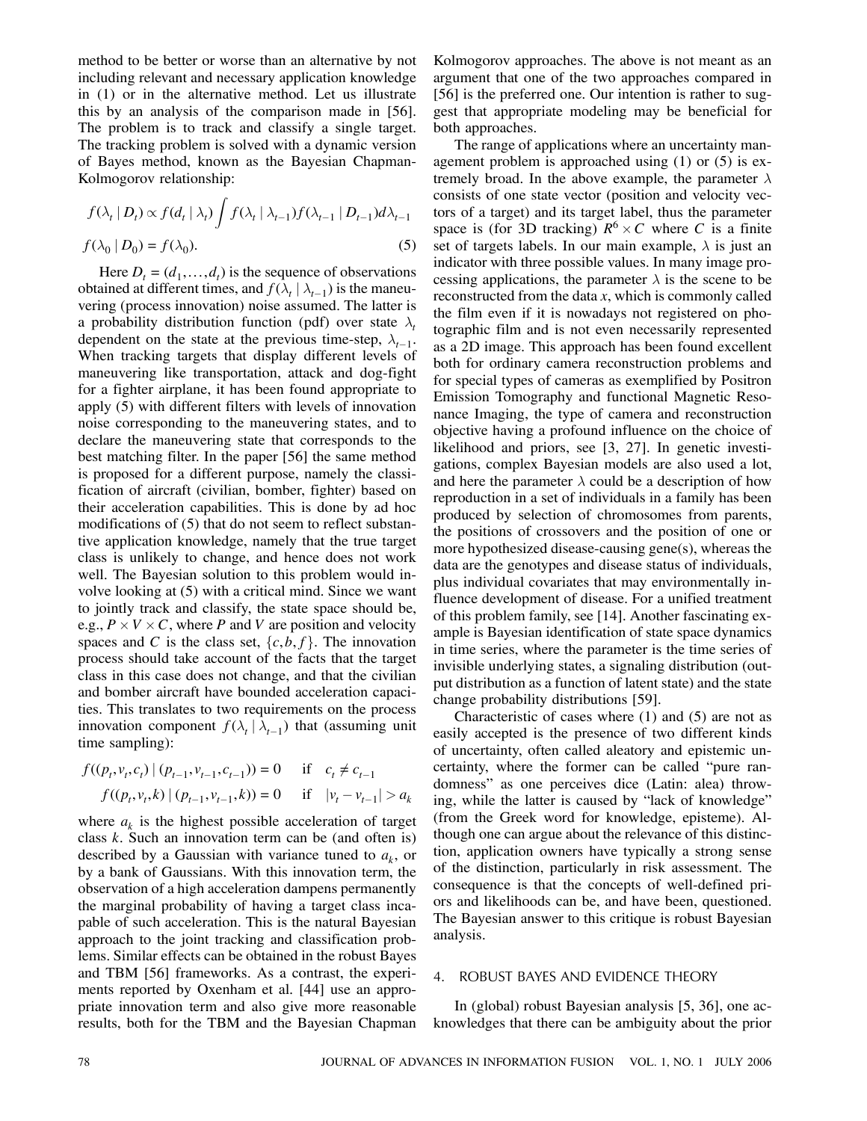method to be better or worse than an alternative by not including relevant and necessary application knowledge in (1) or in the alternative method. Let us illustrate this by an analysis of the comparison made in [56]. The problem is to track and classify a single target. The tracking problem is solved with a dynamic version of Bayes method, known as the Bayesian Chapman-Kolmogorov relationship:

$$
f(\lambda_t | D_t) \propto f(d_t | \lambda_t) \int f(\lambda_t | \lambda_{t-1}) f(\lambda_{t-1} | D_{t-1}) d\lambda_{t-1}
$$
  

$$
f(\lambda_0 | D_0) = f(\lambda_0).
$$
 (5)

Here  $D_t = (d_1, \ldots, d_t)$  is the sequence of observations obtained at different times, and  $f(\lambda_t | \lambda_{t-1})$  is the maneuvering (process innovation) noise assumed. The latter is a probability distribution function (pdf) over state  $\lambda_t$ dependent on the state at the previous time-step,  $\lambda_{t-1}$ . When tracking targets that display different levels of maneuvering like transportation, attack and dog-fight for a fighter airplane, it has been found appropriate to apply (5) with different filters with levels of innovation noise corresponding to the maneuvering states, and to declare the maneuvering state that corresponds to the best matching filter. In the paper [56] the same method is proposed for a different purpose, namely the classification of aircraft (civilian, bomber, fighter) based on their acceleration capabilities. This is done by ad hoc modifications of (5) that do not seem to reflect substantive application knowledge, namely that the true target class is unlikely to change, and hence does not work well. The Bayesian solution to this problem would involve looking at (5) with a critical mind. Since we want to jointly track and classify, the state space should be, e.g.,  $P \times V \times C$ , where P and V are position and velocity spaces and C is the class set,  $\{c,b,f\}$ . The innovation process should take account of the facts that the target class in this case does not change, and that the civilian and bomber aircraft have bounded acceleration capacities. This translates to two requirements on the process innovation component  $f(\lambda_t | \lambda_{t-1})$  that (assuming unit time sampling):

$$
f((p_t, v_t, c_t) | (p_{t-1}, v_{t-1}, c_{t-1})) = 0 \quad \text{if} \quad c_t \neq c_{t-1}
$$
  

$$
f((p_t, v_t, k) | (p_{t-1}, v_{t-1}, k)) = 0 \quad \text{if} \quad |v_t - v_{t-1}| > a_k
$$

where  $a_k$  is the highest possible acceleration of target class  $k$ . Such an innovation term can be (and often is) described by a Gaussian with variance tuned to  $a_k$ , or by a bank of Gaussians. With this innovation term, the observation of a high acceleration dampens permanently the marginal probability of having a target class incapable of such acceleration. This is the natural Bayesian approach to the joint tracking and classification problems. Similar effects can be obtained in the robust Bayes and TBM [56] frameworks. As a contrast, the experiments reported by Oxenham et al. [44] use an appropriate innovation term and also give more reasonable results, both for the TBM and the Bayesian Chapman Kolmogorov approaches. The above is not meant as an argument that one of the two approaches compared in [56] is the preferred one. Our intention is rather to suggest that appropriate modeling may be beneficial for both approaches.

The range of applications where an uncertainty management problem is approached using (1) or (5) is extremely broad. In the above example, the parameter  $\lambda$ consists of one state vector (position and velocity vectors of a target) and its target label, thus the parameter space is (for 3D tracking)  $R^6 \times C$  where C is a finite set of targets labels. In our main example,  $\lambda$  is just an indicator with three possible values. In many image processing applications, the parameter  $\lambda$  is the scene to be reconstructed from the data  $x$ , which is commonly called the film even if it is nowadays not registered on photographic film and is not even necessarily represented as a 2D image. This approach has been found excellent both for ordinary camera reconstruction problems and for special types of cameras as exemplified by Positron Emission Tomography and functional Magnetic Resonance Imaging, the type of camera and reconstruction objective having a profound influence on the choice of likelihood and priors, see [3, 27]. In genetic investigations, complex Bayesian models are also used a lot, and here the parameter  $\lambda$  could be a description of how reproduction in a set of individuals in a family has been produced by selection of chromosomes from parents, the positions of crossovers and the position of one or more hypothesized disease-causing gene(s), whereas the data are the genotypes and disease status of individuals, plus individual covariates that may environmentally influence development of disease. For a unified treatment of this problem family, see [14]. Another fascinating example is Bayesian identification of state space dynamics in time series, where the parameter is the time series of invisible underlying states, a signaling distribution (output distribution as a function of latent state) and the state change probability distributions [59].

Characteristic of cases where (1) and (5) are not as easily accepted is the presence of two different kinds of uncertainty, often called aleatory and epistemic uncertainty, where the former can be called "pure randomness" as one perceives dice (Latin: alea) throwing, while the latter is caused by "lack of knowledge" (from the Greek word for knowledge, episteme). Although one can argue about the relevance of this distinction, application owners have typically a strong sense of the distinction, particularly in risk assessment. The consequence is that the concepts of well-defined priors and likelihoods can be, and have been, questioned. The Bayesian answer to this critique is robust Bayesian analysis.

## 4. ROBUST BAYES AND EVIDENCE THEORY

In (global) robust Bayesian analysis [5, 36], one acknowledges that there can be ambiguity about the prior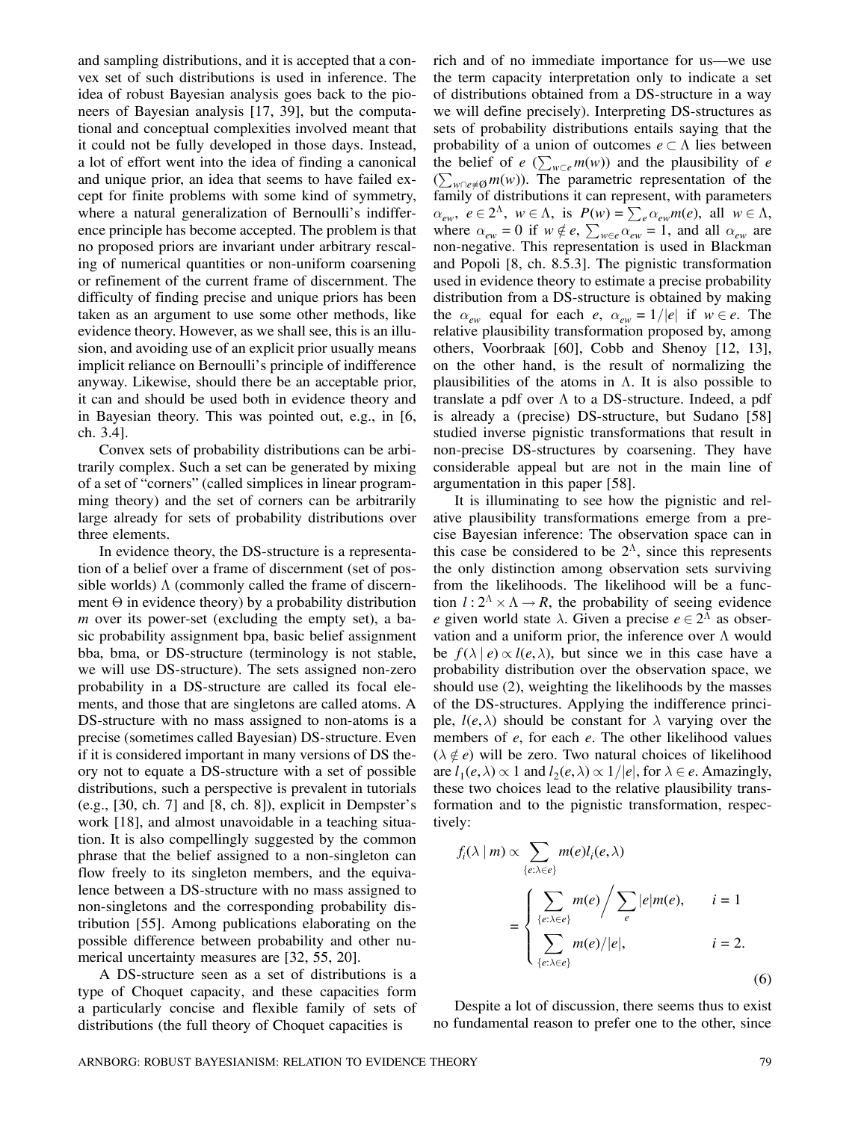and sampling distributions, and it is accepted that a convex set of such distributions is used in inference. The idea of robust Bayesian analysis goes back to the pioneers of Bayesian analysis [17, 39], but the computational and conceptual complexities involved meant that it could not be fully developed in those days. Instead, a lot of effort went into the idea of finding a canonical and unique prior, an idea that seems to have failed except for finite problems with some kind of symmetry, where a natural generalization of Bernoulli's indifference principle has become accepted. The problem is that no proposed priors are invariant under arbitrary rescaling of numerical quantities or non-uniform coarsening or refinement of the current frame of discernment. The difficulty of finding precise and unique priors has been taken as an argument to use some other methods, like evidence theory. However, as we shall see, this is an illusion, and avoiding use of an explicit prior usually means implicit reliance on Bernoulli's principle of indifference anyway. Likewise, should there be an acceptable prior, it can and should be used both in evidence theory and in Bayesian theory. This was pointed out, e.g., in [6, ch. 3.4].

Convex sets of probability distributions can be arbitrarily complex. Such a set can be generated by mixing of a set of "corners" (called simplices in linear programming theory) and the set of corners can be arbitrarily large already for sets of probability distributions over three elements.

In evidence theory, the DS-structure is a representation of a belief over a frame of discernment (set of possible worlds)  $\Lambda$  (commonly called the frame of discernment  $\Theta$  in evidence theory) by a probability distribution m over its power-set (excluding the empty set), a basic probability assignment bpa, basic belief assignment bba, bma, or DS-structure (terminology is not stable, we will use DS-structure). The sets assigned non-zero probability in a DS-structure are called its focal elements, and those that are singletons are called atoms. A DS-structure with no mass assigned to non-atoms is a precise (sometimes called Bayesian) DS-structure. Even if it is considered important in many versions of DS theory not to equate a DS-structure with a set of possible distributions, such a perspective is prevalent in tutorials  $(e.g., [30, ch. 7]$  and  $[8, ch. 8]$ , explicit in Dempster's work [18], and almost unavoidable in a teaching situation. It is also compellingly suggested by the common phrase that the belief assigned to a non-singleton can flow freely to its singleton members, and the equivalence between a DS-structure with no mass assigned to non-singletons and the corresponding probability distribution [55]. Among publications elaborating on the possible difference between probability and other numerical uncertainty measures are [32, 55, 20].

A DS-structure seen as a set of distributions is a type of Choquet capacity, and these capacities form a particularly concise and flexible family of sets of distributions (the full theory of Choquet capacities is

rich and of no immediate importance for us–we use the term capacity interpretation only to indicate a set of distributions obtained from a DS-structure in a way we will define precisely). Interpreting DS-structures as sets of probability distributions entails saying that the probability of a union of outcomes  $e \subset \Lambda$  lies between the belief of  $e \left( \sum_{w \subset e} m(w) \right)$  and the plausibility of e  $(\sum_{w\cap e\neq\emptyset} m(w))$ . The parametric representation of the family of distributions it can represent, with parameters  $\alpha_{ew}$ ,  $e \in 2^{\Lambda}$ ,  $w \in \Lambda$ , is  $P(w) = \sum_{e} \alpha_{ew} m(e)$ , all  $w \in \Lambda$ , where  $\alpha_{ew} = 0$  if  $w \notin e$ ,  $\sum_{w \in e} \alpha_{ew} = 1$ , and all  $\alpha_{ew}$  are non-negative. This representation is used in Blackman and Popoli [8, ch. 8.5.3]. The pignistic transformation used in evidence theory to estimate a precise probability distribution from a DS-structure is obtained by making the  $\alpha_{ew}$  equal for each e,  $\alpha_{ew} = 1/|e|$  if  $w \in e$ . The relative plausibility transformation proposed by, among others, Voorbraak [60], Cobb and Shenoy [12, 13], on the other hand, is the result of normalizing the plausibilities of the atoms in  $\Lambda$ . It is also possible to translate a pdf over  $\Lambda$  to a DS-structure. Indeed, a pdf is already a (precise) DS-structure, but Sudano [58] studied inverse pignistic transformations that result in non-precise DS-structures by coarsening. They have considerable appeal but are not in the main line of argumentation in this paper [58].

It is illuminating to see how the pignistic and relative plausibility transformations emerge from a precise Bayesian inference: The observation space can in this case be considered to be  $2<sup>\Lambda</sup>$ , since this represents the only distinction among observation sets surviving from the likelihoods. The likelihood will be a function  $l : 2^{\Lambda} \times \Lambda \rightarrow R$ , the probability of seeing evidence e given world state  $\lambda$ . Given a precise  $e \in 2^{\Lambda}$  as observation and a uniform prior, the inference over  $\Lambda$  would be  $f(\lambda | e) \propto l(e, \lambda)$ , but since we in this case have a probability distribution over the observation space, we should use (2), weighting the likelihoods by the masses of the DS-structures. Applying the indifference principle,  $l(e, \lambda)$  should be constant for  $\lambda$  varying over the members of e, for each e. The other likelihood values  $(\lambda \notin e)$  will be zero. Two natural choices of likelihood are  $l_1(e,\lambda) \propto 1$  and  $l_2(e,\lambda) \propto 1/|e|$ , for  $\lambda \in e$ . Amazingly, these two choices lead to the relative plausibility transformation and to the pignistic transformation, respectively:

$$
f_i(\lambda \mid m) \propto \sum_{\{e:\lambda \in e\}} m(e) l_i(e, \lambda)
$$
  
= 
$$
\begin{cases} \sum_{\{e:\lambda \in e\}} m(e) / \sum_{e} |e| m(e), & i = 1 \\ \sum_{\{e:\lambda \in e\}} m(e) / |e|, & i = 2. \end{cases}
$$
 (6)

Despite a lot of discussion, there seems thus to exist no fundamental reason to prefer one to the other, since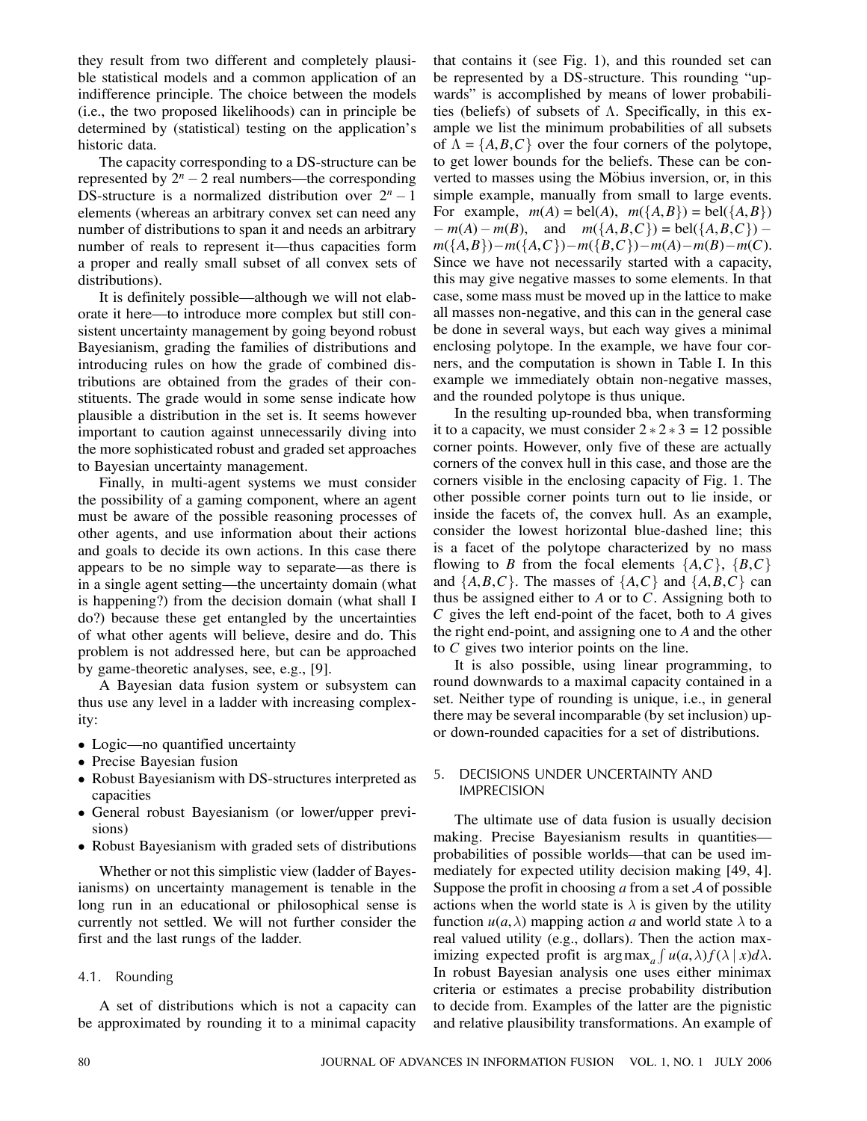they result from two different and completely plausible statistical models and a common application of an indifference principle. The choice between the models (i.e., the two proposed likelihoods) can in principle be determined by (statistical) testing on the application's historic data.

The capacity corresponding to a DS-structure can be represented by  $2^n - 2$  real numbers—the corresponding DS-structure is a normalized distribution over  $2^n - 1$ elements (whereas an arbitrary convex set can need any number of distributions to span it and needs an arbitrary number of reals to represent it—thus capacities form a proper and really small subset of all convex sets of distributions).

It is definitely possible–although we will not elaborate it here–to introduce more complex but still consistent uncertainty management by going beyond robust Bayesianism, grading the families of distributions and introducing rules on how the grade of combined distributions are obtained from the grades of their constituents. The grade would in some sense indicate how plausible a distribution in the set is. It seems however important to caution against unnecessarily diving into the more sophisticated robust and graded set approaches to Bayesian uncertainty management.

Finally, in multi-agent systems we must consider the possibility of a gaming component, where an agent must be aware of the possible reasoning processes of other agents, and use information about their actions and goals to decide its own actions. In this case there appears to be no simple way to separate–as there is in a single agent setting–the uncertainty domain (what is happening?) from the decision domain (what shall I do?) because these get entangled by the uncertainties of what other agents will believe, desire and do. This problem is not addressed here, but can be approached by game-theoretic analyses, see, e.g., [9].

A Bayesian data fusion system or subsystem can thus use any level in a ladder with increasing complexity:

- Logic—no quantified uncertainty
- Precise Bayesian fusion
- ² Robust Bayesianism with DS-structures interpreted as capacities
- General robust Bayesianism (or lower/upper previsions)
- Robust Bayesianism with graded sets of distributions

Whether or not this simplistic view (ladder of Bayesianisms) on uncertainty management is tenable in the long run in an educational or philosophical sense is currently not settled. We will not further consider the first and the last rungs of the ladder.

# 4.1. Rounding

A set of distributions which is not a capacity can be approximated by rounding it to a minimal capacity that contains it (see Fig. 1), and this rounded set can be represented by a DS-structure. This rounding "upwards" is accomplished by means of lower probabilities (beliefs) of subsets of  $\Lambda$ . Specifically, in this example we list the minimum probabilities of all subsets of  $A = \{A, B, C\}$  over the four corners of the polytope, to get lower bounds for the beliefs. These can be converted to masses using the Möbius inversion, or, in this simple example, manually from small to large events. For example,  $m(A) = \text{bel}(A)$ ,  $m({A, B}) = \text{bel}({A, B})$  $-m(A) - m(B)$ , and  $m({A, B, C}) = bel({A, B, C})$  $m({A, B})-m({A, C})-m({B, C})-m(A)-m(B)-m(C).$ Since we have not necessarily started with a capacity, this may give negative masses to some elements. In that case, some mass must be moved up in the lattice to make all masses non-negative, and this can in the general case be done in several ways, but each way gives a minimal enclosing polytope. In the example, we have four corners, and the computation is shown in Table I. In this example we immediately obtain non-negative masses, and the rounded polytope is thus unique.

In the resulting up-rounded bba, when transforming it to a capacity, we must consider  $2 \times 2 \times 3 = 12$  possible corner points. However, only five of these are actually corners of the convex hull in this case, and those are the corners visible in the enclosing capacity of Fig. 1. The other possible corner points turn out to lie inside, or inside the facets of, the convex hull. As an example, consider the lowest horizontal blue-dashed line; this is a facet of the polytope characterized by no mass flowing to B from the focal elements  $\{A, C\}$ ,  $\{B, C\}$ and  $\{A, B, C\}$ . The masses of  $\{A, C\}$  and  $\{A, B, C\}$  can thus be assigned either to  $A$  or to  $C$ . Assigning both to  $C$  gives the left end-point of the facet, both to  $A$  gives the right end-point, and assigning one to A and the other to C gives two interior points on the line.

It is also possible, using linear programming, to round downwards to a maximal capacity contained in a set. Neither type of rounding is unique, i.e., in general there may be several incomparable (by set inclusion) upor down-rounded capacities for a set of distributions.

# 5. DECISIONS UNDER UNCERTAINTY AND IMPRECISION

The ultimate use of data fusion is usually decision making. Precise Bayesianism results in quantities probabilities of possible worlds–that can be used immediately for expected utility decision making [49, 4]. Suppose the profit in choosing  $\alpha$  from a set  $\mathcal A$  of possible actions when the world state is  $\lambda$  is given by the utility function  $u(a, \lambda)$  mapping action a and world state  $\lambda$  to a real valued utility (e.g., dollars). Then the action maximizing expected profit is  $\arg \max_a \int u(a,\lambda) f(\lambda \mid x) d\lambda$ . In robust Bayesian analysis one uses either minimax criteria or estimates a precise probability distribution to decide from. Examples of the latter are the pignistic and relative plausibility transformations. An example of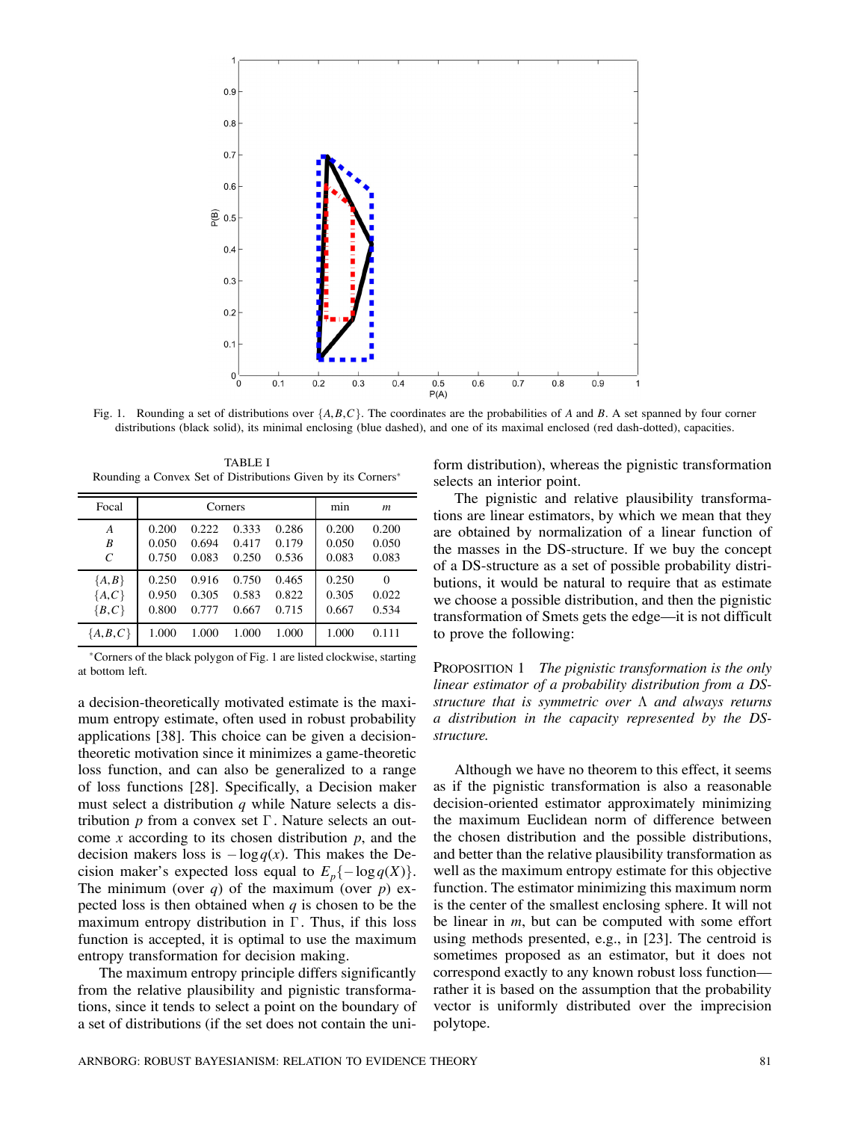

Fig. 1. Rounding a set of distributions over  $\{A, B, C\}$ . The coordinates are the probabilities of A and B. A set spanned by four corner distributions (black solid), its minimal enclosing (blue dashed), and one of its maximal enclosed (red dash-dotted), capacities.

TABLE I Rounding a Convex Set of Distributions Given by its Corners<sup>\*</sup>

| Focal         |       | Corners | min<br>$\boldsymbol{m}$ |       |       |          |
|---------------|-------|---------|-------------------------|-------|-------|----------|
| A             | 0.200 | 0.222   | 0.333                   | 0.286 | 0.200 | 0.200    |
| B             | 0.050 | 0.694   | 0.417                   | 0.179 | 0.050 | 0.050    |
| $\mathcal{C}$ | 0.750 | 0.083   | 0.250                   | 0.536 | 0.083 | 0.083    |
| ${A,B}$       | 0.250 | 0.916   | 0.750                   | 0.465 | 0.250 | $\Omega$ |
| ${A, C}$      | 0.950 | 0.305   | 0.583                   | 0.822 | 0.305 | 0.022    |
| ${B, C}$      | 0.800 | 0.777   | 0.667                   | 0.715 | 0.667 | 0.534    |
| ${A,B,C}$     | 1.000 | 1.000   | 1.000                   | 1.000 | 1.000 | 0.111    |

¤Corners of the black polygon of Fig. 1 are listed clockwise, starting at bottom left.

a decision-theoretically motivated estimate is the maximum entropy estimate, often used in robust probability applications [38]. This choice can be given a decisiontheoretic motivation since it minimizes a game-theoretic loss function, and can also be generalized to a range of loss functions [28]. Specifically, a Decision maker must select a distribution  $q$  while Nature selects a distribution p from a convex set  $\Gamma$ . Nature selects an outcome x according to its chosen distribution  $p$ , and the decision makers loss is  $-\log q(x)$ . This makes the Decision maker's expected loss equal to  $E_n\{-\log q(X)\}.$ The minimum (over q) of the maximum (over  $p$ ) expected loss is then obtained when  $q$  is chosen to be the maximum entropy distribution in  $\Gamma$ . Thus, if this loss function is accepted, it is optimal to use the maximum entropy transformation for decision making.

The maximum entropy principle differs significantly from the relative plausibility and pignistic transformations, since it tends to select a point on the boundary of a set of distributions (if the set does not contain the uniform distribution), whereas the pignistic transformation selects an interior point.

The pignistic and relative plausibility transformations are linear estimators, by which we mean that they are obtained by normalization of a linear function of the masses in the DS-structure. If we buy the concept of a DS-structure as a set of possible probability distributions, it would be natural to require that as estimate we choose a possible distribution, and then the pignistic transformation of Smets gets the edge–it is not difficult to prove the following:

PROPOSITION 1 *The pignistic transformation is the only linear estimator of a probability distribution from a DSstructure that is symmetric over*  $\Lambda$  *and always returns a distribution in the capacity represented by the DSstructure.*

Although we have no theorem to this effect, it seems as if the pignistic transformation is also a reasonable decision-oriented estimator approximately minimizing the maximum Euclidean norm of difference between the chosen distribution and the possible distributions, and better than the relative plausibility transformation as well as the maximum entropy estimate for this objective function. The estimator minimizing this maximum norm is the center of the smallest enclosing sphere. It will not be linear in  $m$ , but can be computed with some effort using methods presented, e.g., in [23]. The centroid is sometimes proposed as an estimator, but it does not correspond exactly to any known robust loss function– rather it is based on the assumption that the probability vector is uniformly distributed over the imprecision polytope.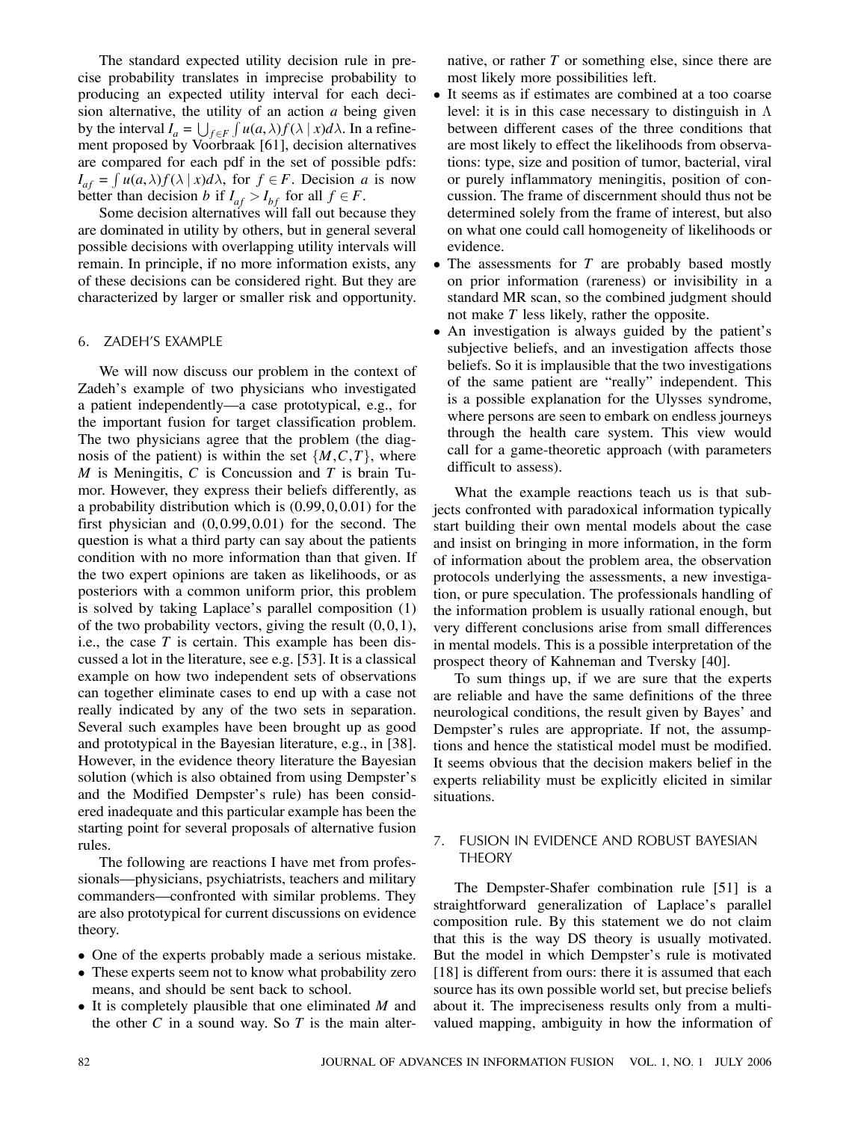The standard expected utility decision rule in precise probability translates in imprecise probability to producing an expected utility interval for each decision alternative, the utility of an action  $a$  being given by the interval  $I_a = \bigcup_{f \in F} \int u(a,\lambda) f(\lambda \mid x) d\lambda$ . In a refinement proposed by Voorbraak [61], decision alternatives are compared for each pdf in the set of possible pdfs:  $I_{af} = \int u(a,\lambda)f(\lambda \mid x)d\lambda$ , for  $f \in F$ . Decision a is now better than decision b if  $I_{af} > I_{bf}$  for all  $f \in F$ .

Some decision alternatives will fall out because they are dominated in utility by others, but in general several possible decisions with overlapping utility intervals will remain. In principle, if no more information exists, any of these decisions can be considered right. But they are characterized by larger or smaller risk and opportunity.

## 6. ZADEH'S EXAMPLE

We will now discuss our problem in the context of Zadeh's example of two physicians who investigated a patient independently–a case prototypical, e.g., for the important fusion for target classification problem. The two physicians agree that the problem (the diagnosis of the patient) is within the set  $\{M, C, T\}$ , where  $M$  is Meningitis,  $C$  is Concussion and  $T$  is brain Tumor. However, they express their beliefs differently, as a probability distribution which is  $(0.99, 0.0.01)$  for the first physician and  $(0, 0.99, 0.01)$  for the second. The question is what a third party can say about the patients condition with no more information than that given. If the two expert opinions are taken as likelihoods, or as posteriors with a common uniform prior, this problem is solved by taking Laplace's parallel composition (1) of the two probability vectors, giving the result  $(0, 0, 1)$ , i.e., the case  $T$  is certain. This example has been discussed a lot in the literature, see e.g. [53]. It is a classical example on how two independent sets of observations can together eliminate cases to end up with a case not really indicated by any of the two sets in separation. Several such examples have been brought up as good and prototypical in the Bayesian literature, e.g., in [38]. However, in the evidence theory literature the Bayesian solution (which is also obtained from using Dempster's and the Modified Dempster's rule) has been considered inadequate and this particular example has been the starting point for several proposals of alternative fusion rules.

The following are reactions I have met from professionals–physicians, psychiatrists, teachers and military commanders–confronted with similar problems. They are also prototypical for current discussions on evidence theory.

- One of the experts probably made a serious mistake.
- These experts seem not to know what probability zero means, and should be sent back to school.
- $\bullet$  It is completely plausible that one eliminated M and the other C in a sound way. So T is the main alter-

native, or rather  $T$  or something else, since there are most likely more possibilities left.

- It seems as if estimates are combined at a too coarse level: it is in this case necessary to distinguish in  $\Lambda$ between different cases of the three conditions that are most likely to effect the likelihoods from observations: type, size and position of tumor, bacterial, viral or purely inflammatory meningitis, position of concussion. The frame of discernment should thus not be determined solely from the frame of interest, but also on what one could call homogeneity of likelihoods or evidence.
- $\bullet$  The assessments for T are probably based mostly on prior information (rareness) or invisibility in a standard MR scan, so the combined judgment should not make T less likely, rather the opposite.
- An investigation is always guided by the patient's subjective beliefs, and an investigation affects those beliefs. So it is implausible that the two investigations of the same patient are "really" independent. This is a possible explanation for the Ulysses syndrome, where persons are seen to embark on endless journeys through the health care system. This view would call for a game-theoretic approach (with parameters difficult to assess).

What the example reactions teach us is that subjects confronted with paradoxical information typically start building their own mental models about the case and insist on bringing in more information, in the form of information about the problem area, the observation protocols underlying the assessments, a new investigation, or pure speculation. The professionals handling of the information problem is usually rational enough, but very different conclusions arise from small differences in mental models. This is a possible interpretation of the prospect theory of Kahneman and Tversky [40].

To sum things up, if we are sure that the experts are reliable and have the same definitions of the three neurological conditions, the result given by Bayes' and Dempster's rules are appropriate. If not, the assumptions and hence the statistical model must be modified. It seems obvious that the decision makers belief in the experts reliability must be explicitly elicited in similar situations.

# 7. FUSION IN EVIDENCE AND ROBUST BAYESIAN THEORY

The Dempster-Shafer combination rule [51] is a straightforward generalization of Laplace's parallel composition rule. By this statement we do not claim that this is the way DS theory is usually motivated. But the model in which Dempster's rule is motivated [18] is different from ours: there it is assumed that each source has its own possible world set, but precise beliefs about it. The impreciseness results only from a multivalued mapping, ambiguity in how the information of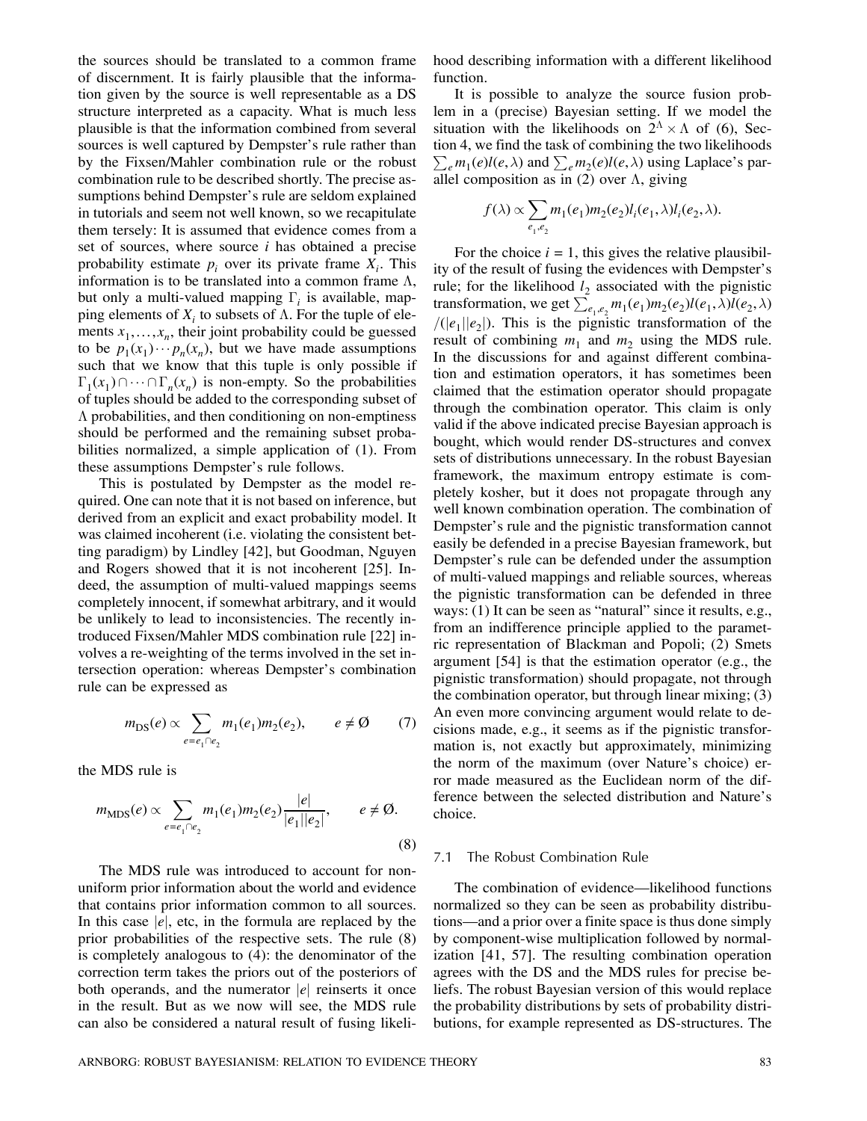the sources should be translated to a common frame of discernment. It is fairly plausible that the information given by the source is well representable as a DS structure interpreted as a capacity. What is much less plausible is that the information combined from several sources is well captured by Dempster's rule rather than by the Fixsen/Mahler combination rule or the robust combination rule to be described shortly. The precise assumptions behind Dempster's rule are seldom explained in tutorials and seem not well known, so we recapitulate them tersely: It is assumed that evidence comes from a set of sources, where source  $i$  has obtained a precise probability estimate  $p_i$  over its private frame  $X_i$ . This information is to be translated into a common frame  $\Lambda$ , but only a multi-valued mapping  $\Gamma_i$  is available, mapping elements of  $X_i$  to subsets of  $\Lambda$ . For the tuple of elements  $x_1, \ldots, x_n$ , their joint probability could be guessed to be  $p_1(x_1)\cdots p_n(x_n)$ , but we have made assumptions such that we know that this tuple is only possible if  $\Gamma_1(x_1)\cap\cdots\cap\Gamma_n(x_n)$  is non-empty. So the probabilities of tuples should be added to the corresponding subset of  $\Lambda$  probabilities, and then conditioning on non-emptiness should be performed and the remaining subset probabilities normalized, a simple application of (1). From these assumptions Dempster's rule follows.

This is postulated by Dempster as the model required. One can note that it is not based on inference, but derived from an explicit and exact probability model. It was claimed incoherent (i.e. violating the consistent betting paradigm) by Lindley [42], but Goodman, Nguyen and Rogers showed that it is not incoherent [25]. Indeed, the assumption of multi-valued mappings seems completely innocent, if somewhat arbitrary, and it would be unlikely to lead to inconsistencies. The recently introduced Fixsen/Mahler MDS combination rule [22] involves a re-weighting of the terms involved in the set intersection operation: whereas Dempster's combination rule can be expressed as

$$
m_{\text{DS}}(e) \propto \sum_{e=e_1 \cap e_2} m_1(e_1) m_2(e_2), \qquad e \neq \emptyset \tag{7}
$$

the MDS rule is

$$
m_{\text{MDS}}(e) \propto \sum_{e = e_1 \cap e_2} m_1(e_1) m_2(e_2) \frac{|e|}{|e_1||e_2|}, \qquad e \neq \emptyset.
$$
\n(8)

The MDS rule was introduced to account for nonuniform prior information about the world and evidence that contains prior information common to all sources. In this case  $|e|$ , etc, in the formula are replaced by the prior probabilities of the respective sets. The rule (8) is completely analogous to (4): the denominator of the correction term takes the priors out of the posteriors of both operands, and the numerator  $|e|$  reinserts it once in the result. But as we now will see, the MDS rule can also be considered a natural result of fusing likelihood describing information with a different likelihood function.

It is possible to analyze the source fusion problem in a (precise) Bayesian setting. If we model the situation with the likelihoods on  $2^{\Lambda} \times \Lambda$  of (6), Section 4, we find the task of combining the two likelihoods  $\sum_{e} m_1(e) l(e, \lambda)$  and  $\sum_{e} m_2(e) l(e, \lambda)$  using Laplace's parallel composition as in  $(2)$  over  $\Lambda$ , giving

$$
f(\lambda) \propto \sum_{e_1, e_2} m_1(e_1) m_2(e_2) l_i(e_1, \lambda) l_i(e_2, \lambda).
$$

For the choice  $i = 1$ , this gives the relative plausibility of the result of fusing the evidences with Dempster's rule; for the likelihood  $l_2$  associated with the pignistic transformation, we get  $\sum_{e_1,e_2}^{e} m_1(e_1) m_2(e_2) l(e_1,\lambda) l(e_2,\lambda)$  $/(|e_1||e_2|)$ . This is the pignistic transformation of the result of combining  $m_1$  and  $m_2$  using the MDS rule. In the discussions for and against different combination and estimation operators, it has sometimes been claimed that the estimation operator should propagate through the combination operator. This claim is only valid if the above indicated precise Bayesian approach is bought, which would render DS-structures and convex sets of distributions unnecessary. In the robust Bayesian framework, the maximum entropy estimate is completely kosher, but it does not propagate through any well known combination operation. The combination of Dempster's rule and the pignistic transformation cannot easily be defended in a precise Bayesian framework, but Dempster's rule can be defended under the assumption of multi-valued mappings and reliable sources, whereas the pignistic transformation can be defended in three ways: (1) It can be seen as "natural" since it results, e.g., from an indifference principle applied to the parametric representation of Blackman and Popoli; (2) Smets argument [54] is that the estimation operator (e.g., the pignistic transformation) should propagate, not through the combination operator, but through linear mixing; (3) An even more convincing argument would relate to decisions made, e.g., it seems as if the pignistic transformation is, not exactly but approximately, minimizing the norm of the maximum (over Nature's choice) error made measured as the Euclidean norm of the difference between the selected distribution and Nature's choice.

# 7.1 The Robust Combination Rule

The combination of evidence–likelihood functions normalized so they can be seen as probability distributions–and a prior over a finite space is thus done simply by component-wise multiplication followed by normalization [41, 57]. The resulting combination operation agrees with the DS and the MDS rules for precise beliefs. The robust Bayesian version of this would replace the probability distributions by sets of probability distributions, for example represented as DS-structures. The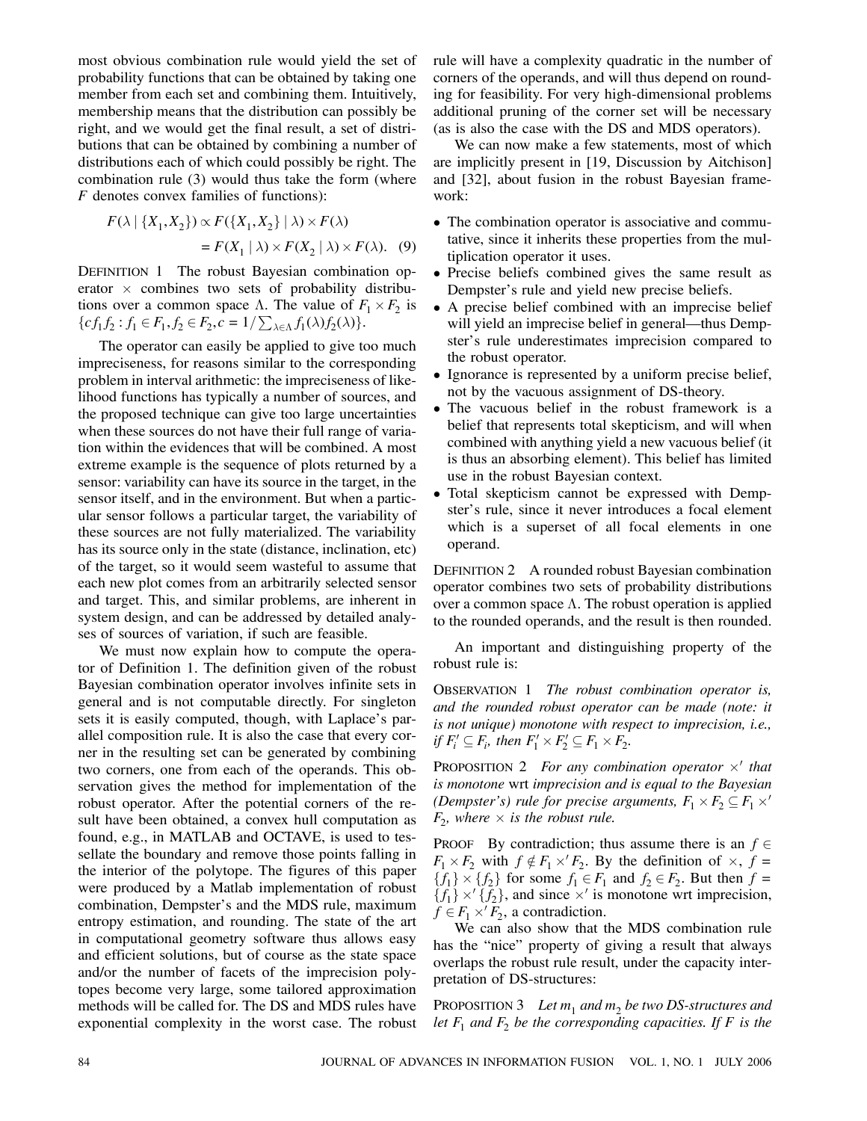most obvious combination rule would yield the set of probability functions that can be obtained by taking one member from each set and combining them. Intuitively, membership means that the distribution can possibly be right, and we would get the final result, a set of distributions that can be obtained by combining a number of distributions each of which could possibly be right. The combination rule (3) would thus take the form (where F denotes convex families of functions):

$$
F(\lambda \mid \{X_1, X_2\}) \propto F(\{X_1, X_2\} \mid \lambda) \times F(\lambda)
$$
  
=  $F(X_1 \mid \lambda) \times F(X_2 \mid \lambda) \times F(\lambda)$ . (9)

DEFINITION 1 The robust Bayesian combination operator  $\times$  combines two sets of probability distributions over a common space  $\Lambda$ . The value of  $F_1 \times F_2$  is  ${cf_1 f_2 : f_1 \in F_1, f_2 \in F_2, c = 1/\sum_{\lambda \in \Lambda} f_1(\lambda) f_2(\lambda)}.$ 

The operator can easily be applied to give too much impreciseness, for reasons similar to the corresponding problem in interval arithmetic: the impreciseness of likelihood functions has typically a number of sources, and the proposed technique can give too large uncertainties when these sources do not have their full range of variation within the evidences that will be combined. A most extreme example is the sequence of plots returned by a sensor: variability can have its source in the target, in the sensor itself, and in the environment. But when a particular sensor follows a particular target, the variability of these sources are not fully materialized. The variability has its source only in the state (distance, inclination, etc) of the target, so it would seem wasteful to assume that each new plot comes from an arbitrarily selected sensor and target. This, and similar problems, are inherent in system design, and can be addressed by detailed analyses of sources of variation, if such are feasible.

We must now explain how to compute the operator of Definition 1. The definition given of the robust Bayesian combination operator involves infinite sets in general and is not computable directly. For singleton sets it is easily computed, though, with Laplace's parallel composition rule. It is also the case that every corner in the resulting set can be generated by combining two corners, one from each of the operands. This observation gives the method for implementation of the robust operator. After the potential corners of the result have been obtained, a convex hull computation as found, e.g., in MATLAB and OCTAVE, is used to tessellate the boundary and remove those points falling in the interior of the polytope. The figures of this paper were produced by a Matlab implementation of robust combination, Dempster's and the MDS rule, maximum entropy estimation, and rounding. The state of the art in computational geometry software thus allows easy and efficient solutions, but of course as the state space and/or the number of facets of the imprecision polytopes become very large, some tailored approximation methods will be called for. The DS and MDS rules have exponential complexity in the worst case. The robust rule will have a complexity quadratic in the number of corners of the operands, and will thus depend on rounding for feasibility. For very high-dimensional problems additional pruning of the corner set will be necessary (as is also the case with the DS and MDS operators).

We can now make a few statements, most of which are implicitly present in [19, Discussion by Aitchison] and [32], about fusion in the robust Bayesian framework:

- The combination operator is associative and commutative, since it inherits these properties from the multiplication operator it uses.
- Precise beliefs combined gives the same result as Dempster's rule and yield new precise beliefs.
- A precise belief combined with an imprecise belief will yield an imprecise belief in general—thus Dempster's rule underestimates imprecision compared to the robust operator.
- Ignorance is represented by a uniform precise belief, not by the vacuous assignment of DS-theory.
- The vacuous belief in the robust framework is a belief that represents total skepticism, and will when combined with anything yield a new vacuous belief (it is thus an absorbing element). This belief has limited use in the robust Bayesian context.
- Total skepticism cannot be expressed with Dempster's rule, since it never introduces a focal element which is a superset of all focal elements in one operand.

DEFINITION 2 A rounded robust Bayesian combination operator combines two sets of probability distributions over a common space  $\Lambda$ . The robust operation is applied to the rounded operands, and the result is then rounded.

An important and distinguishing property of the robust rule is:

OBSERVATION 1 *The robust combination operator is, and the rounded robust operator can be made (note: it is not unique) monotone with respect to imprecision, i.e.,* if  $F'_i \subseteq F_i$ , then  $F'_1 \times F'_2 \subseteq F_1 \times F_2$ .

**PROPOSITION 2** For any combination operator  $\times$ <sup>*'*</sup> that *is monotone* wrt *imprecision and is equal to the Bayesian (Dempster's) rule for precise arguments,*  $F_1 \times F_2 \subseteq F_1 \times'$  $F_2$ *, where*  $\times$  *is the robust rule.* 

PROOF By contradiction; thus assume there is an  $f \in$  $F_1 \times F_2$  with  $f \notin F_1 \times F_2$ . By the definition of  $\times$ ,  $f =$  ${f_1} \times {f_2}$  for some  $f_1 \in F_1$  and  $f_2 \in F_2$ . But then  $f =$  ${f_1} \times {f_2}$ , and since  $\times'$  is monotone wrt imprecision,  $f \in F_1 \times' F_2$ , a contradiction.

We can also show that the MDS combination rule has the "nice" property of giving a result that always overlaps the robust rule result, under the capacity interpretation of DS-structures:

PROPOSITION 3 Let  $m_1$  and  $m_2$  be two DS-structures and *let*  $F_1$  *and*  $F_2$  *be the corresponding capacities. If*  $F$  *is the*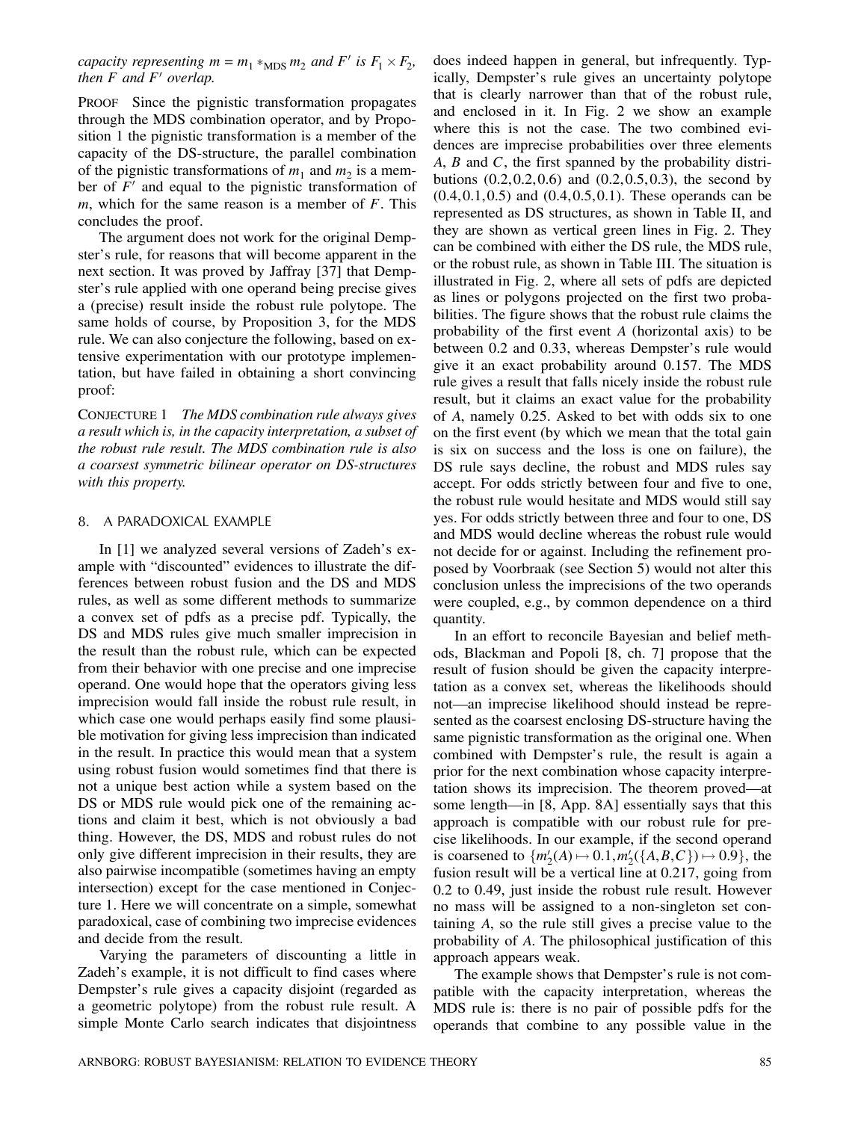*capacity representing*  $m = m_1 *_{MDS} m_2$  *and*  $F'$  *is*  $F_1 \times F_2$ *, then*  $F$  *and*  $F'$  *overlap.* 

PROOF Since the pignistic transformation propagates through the MDS combination operator, and by Proposition 1 the pignistic transformation is a member of the capacity of the DS-structure, the parallel combination of the pignistic transformations of  $m_1$  and  $m_2$  is a member of  $F'$  and equal to the pignistic transformation of m, which for the same reason is a member of  $F$ . This concludes the proof.

The argument does not work for the original Dempster's rule, for reasons that will become apparent in the next section. It was proved by Jaffray [37] that Dempster's rule applied with one operand being precise gives a (precise) result inside the robust rule polytope. The same holds of course, by Proposition 3, for the MDS rule. We can also conjecture the following, based on extensive experimentation with our prototype implementation, but have failed in obtaining a short convincing proof:

CONJECTURE 1 *The MDS combination rule always gives a result which is, in the capacity interpretation, a subset of the robust rule result. The MDS combination rule is also a coarsest symmetric bilinear operator on DS-structures with this property.*

#### 8. A PARADOXICAL EXAMPLE

In [1] we analyzed several versions of Zadeh's example with "discounted" evidences to illustrate the differences between robust fusion and the DS and MDS rules, as well as some different methods to summarize a convex set of pdfs as a precise pdf. Typically, the DS and MDS rules give much smaller imprecision in the result than the robust rule, which can be expected from their behavior with one precise and one imprecise operand. One would hope that the operators giving less imprecision would fall inside the robust rule result, in which case one would perhaps easily find some plausible motivation for giving less imprecision than indicated in the result. In practice this would mean that a system using robust fusion would sometimes find that there is not a unique best action while a system based on the DS or MDS rule would pick one of the remaining actions and claim it best, which is not obviously a bad thing. However, the DS, MDS and robust rules do not only give different imprecision in their results, they are also pairwise incompatible (sometimes having an empty intersection) except for the case mentioned in Conjecture 1. Here we will concentrate on a simple, somewhat paradoxical, case of combining two imprecise evidences and decide from the result.

Varying the parameters of discounting a little in Zadeh's example, it is not difficult to find cases where Dempster's rule gives a capacity disjoint (regarded as a geometric polytope) from the robust rule result. A simple Monte Carlo search indicates that disjointness does indeed happen in general, but infrequently. Typically, Dempster's rule gives an uncertainty polytope that is clearly narrower than that of the robust rule, and enclosed in it. In Fig. 2 we show an example where this is not the case. The two combined evidences are imprecise probabilities over three elements  $A, B$  and  $C$ , the first spanned by the probability distributions  $(0.2, 0.2, 0.6)$  and  $(0.2, 0.5, 0.3)$ , the second by  $(0.4, 0.1, 0.5)$  and  $(0.4, 0.5, 0.1)$ . These operands can be represented as DS structures, as shown in Table II, and they are shown as vertical green lines in Fig. 2. They can be combined with either the DS rule, the MDS rule, or the robust rule, as shown in Table III. The situation is illustrated in Fig. 2, where all sets of pdfs are depicted as lines or polygons projected on the first two probabilities. The figure shows that the robust rule claims the probability of the first event A (horizontal axis) to be between 0.2 and 0.33, whereas Dempster's rule would give it an exact probability around 0.157. The MDS rule gives a result that falls nicely inside the robust rule result, but it claims an exact value for the probability of A, namely 0.25. Asked to bet with odds six to one on the first event (by which we mean that the total gain is six on success and the loss is one on failure), the DS rule says decline, the robust and MDS rules say accept. For odds strictly between four and five to one, the robust rule would hesitate and MDS would still say yes. For odds strictly between three and four to one, DS and MDS would decline whereas the robust rule would not decide for or against. Including the refinement proposed by Voorbraak (see Section 5) would not alter this conclusion unless the imprecisions of the two operands were coupled, e.g., by common dependence on a third quantity.

In an effort to reconcile Bayesian and belief methods, Blackman and Popoli [8, ch. 7] propose that the result of fusion should be given the capacity interpretation as a convex set, whereas the likelihoods should not–an imprecise likelihood should instead be represented as the coarsest enclosing DS-structure having the same pignistic transformation as the original one. When combined with Dempster's rule, the result is again a prior for the next combination whose capacity interpretation shows its imprecision. The theorem proved–at some length–in [8, App. 8A] essentially says that this approach is compatible with our robust rule for precise likelihoods. In our example, if the second operand is coarsened to  $\{m'_2(A) \mapsto 0.1, m'_2(\{A, B, C\}) \mapsto 0.9\}$ , the fusion result will be a vertical line at 0.217, going from 0.2 to 0.49, just inside the robust rule result. However no mass will be assigned to a non-singleton set containing A, so the rule still gives a precise value to the probability of A. The philosophical justification of this approach appears weak.

The example shows that Dempster's rule is not compatible with the capacity interpretation, whereas the MDS rule is: there is no pair of possible pdfs for the operands that combine to any possible value in the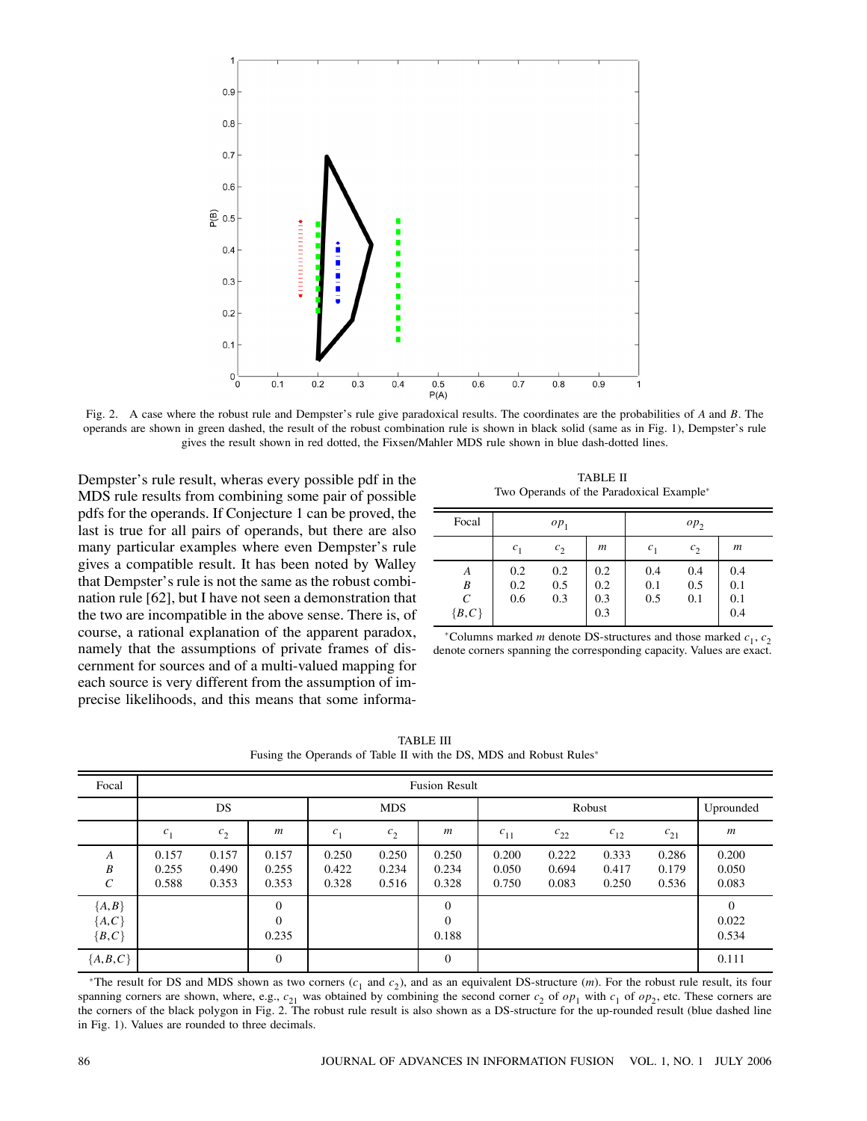

Fig. 2. A case where the robust rule and Dempster's rule give paradoxical results. The coordinates are the probabilities of A and B. The operands are shown in green dashed, the result of the robust combination rule is shown in black solid (same as in Fig. 1), Dempster's rule gives the result shown in red dotted, the Fixsen/Mahler MDS rule shown in blue dash-dotted lines.

Dempster's rule result, wheras every possible pdf in the MDS rule results from combining some pair of possible pdfs for the operands. If Conjecture 1 can be proved, the last is true for all pairs of operands, but there are also many particular examples where even Dempster's rule gives a compatible result. It has been noted by Walley that Dempster's rule is not the same as the robust combination rule [62], but I have not seen a demonstration that the two are incompatible in the above sense. There is, of course, a rational explanation of the apparent paradox, namely that the assumptions of private frames of discernment for sources and of a multi-valued mapping for each source is very different from the assumption of imprecise likelihoods, and this means that some informa-

TABLE II Two Operands of the Paradoxical Example<sup>\*</sup>

| Focal                   | $op_1$            |                   |                          | $op_2$            |                   |                          |  |
|-------------------------|-------------------|-------------------|--------------------------|-------------------|-------------------|--------------------------|--|
|                         | $c_{1}$           | $c_2$             | $\boldsymbol{m}$         | c <sub>1</sub>    | $c_2$             | $\boldsymbol{m}$         |  |
| A<br>B<br>С<br>${B, C}$ | 0.2<br>0.2<br>0.6 | 0.2<br>0.5<br>0.3 | 0.2<br>0.2<br>0.3<br>0.3 | 0.4<br>0.1<br>0.5 | 0.4<br>0.5<br>0.1 | 0.4<br>0.1<br>0.1<br>0.4 |  |

\*Columns marked *m* denote DS-structures and those marked  $c_1, c_2$ denote corners spanning the corresponding capacity. Values are exact.

TABLE III Fusing the Operands of Table II with the DS, MDS and Robust Rules\*

| Focal                           | <b>Fusion Result</b>    |                         |                               |                         |                         |                               |                         |                         |                         |                         |                            |
|---------------------------------|-------------------------|-------------------------|-------------------------------|-------------------------|-------------------------|-------------------------------|-------------------------|-------------------------|-------------------------|-------------------------|----------------------------|
|                                 | <b>DS</b>               |                         |                               | <b>MDS</b>              |                         |                               | Robust                  |                         |                         |                         | Uprounded                  |
|                                 | c <sub>1</sub>          | c <sub>2</sub>          | $\boldsymbol{m}$              | c <sub>1</sub>          | c <sub>2</sub>          | $\boldsymbol{m}$              | $c_{11}$                | $c_{22}$                | $c_{12}$                | $c_{21}$                | $\boldsymbol{m}$           |
| A<br>B<br>C                     | 0.157<br>0.255<br>0.588 | 0.157<br>0.490<br>0.353 | 0.157<br>0.255<br>0.353       | 0.250<br>0.422<br>0.328 | 0.250<br>0.234<br>0.516 | 0.250<br>0.234<br>0.328       | 0.200<br>0.050<br>0.750 | 0.222<br>0.694<br>0.083 | 0.333<br>0.417<br>0.250 | 0.286<br>0.179<br>0.536 | 0.200<br>0.050<br>0.083    |
| ${A,B}$<br>${A, C}$<br>${B, C}$ |                         |                         | $\theta$<br>$\Omega$<br>0.235 |                         |                         | $\theta$<br>$\Omega$<br>0.188 |                         |                         |                         |                         | $\theta$<br>0.022<br>0.534 |
| ${A, B, C}$                     |                         |                         | $\theta$                      |                         |                         | $\theta$                      |                         |                         |                         |                         | 0.111                      |

\*The result for DS and MDS shown as two corners  $(c_1$  and  $c_2$ ), and as an equivalent DS-structure (*m*). For the robust rule result, its four spanning corners are shown, where, e.g.,  $c_{21}$  was obtained by combining the second corner  $c_2$  of  $op_1$  with  $c_1$  of  $op_2$ , etc. These corners are the corners of the black polygon in Fig. 2. The robust rule result is also shown as a DS-structure for the up-rounded result (blue dashed line in Fig. 1). Values are rounded to three decimals.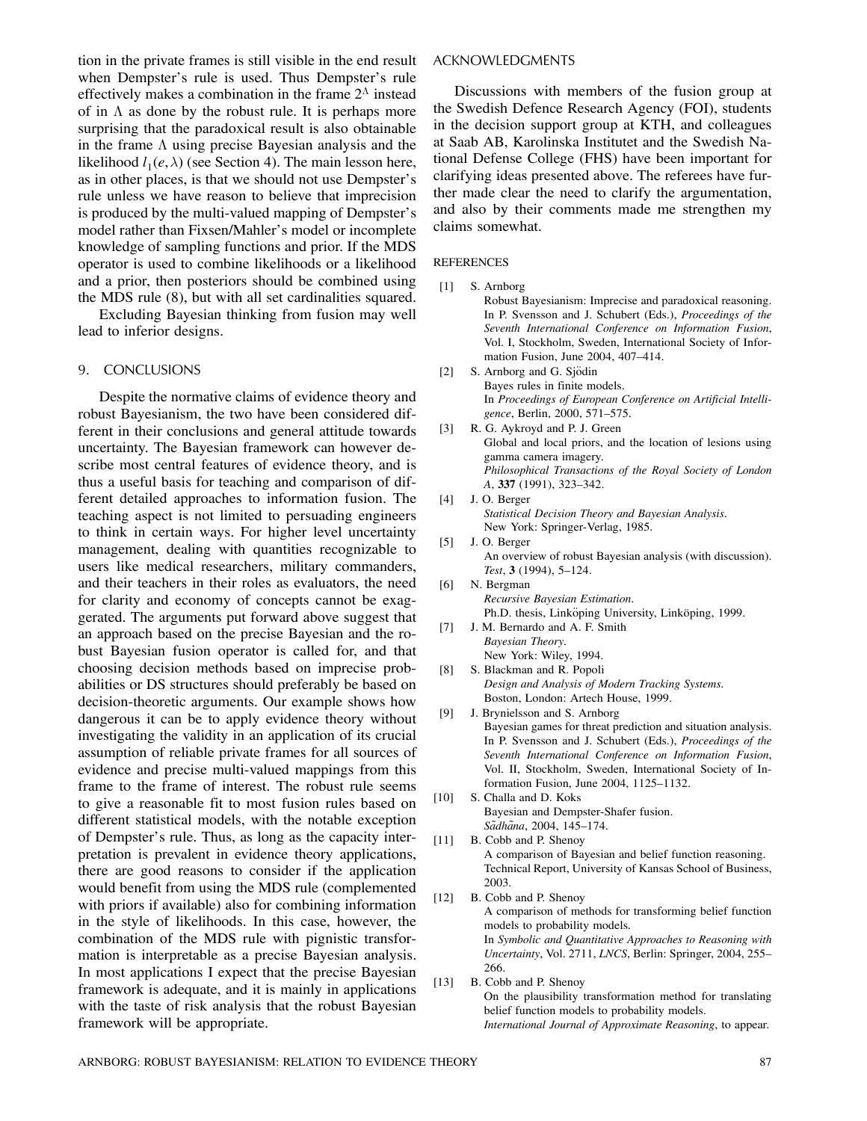tion in the private frames is still visible in the end result when Dempster's rule is used. Thus Dempster's rule effectively makes a combination in the frame  $2^{\Lambda}$  instead of in  $\Lambda$  as done by the robust rule. It is perhaps more surprising that the paradoxical result is also obtainable in the frame  $\Lambda$  using precise Bayesian analysis and the likelihood  $l_1(e, \lambda)$  (see Section 4). The main lesson here, as in other places, is that we should not use Dempster's rule unless we have reason to believe that imprecision is produced by the multi-valued mapping of Dempster's model rather than Fixsen/Mahler's model or incomplete knowledge of sampling functions and prior. If the MDS operator is used to combine likelihoods or a likelihood and a prior, then posteriors should be combined using the MDS rule (8), but with all set cardinalities squared.

Excluding Bayesian thinking from fusion may well lead to inferior designs.

## 9. CONCLUSIONS

Despite the normative claims of evidence theory and robust Bayesianism, the two have been considered different in their conclusions and general attitude towards uncertainty. The Bayesian framework can however describe most central features of evidence theory, and is thus a useful basis for teaching and comparison of different detailed approaches to information fusion. The teaching aspect is not limited to persuading engineers to think in certain ways. For higher level uncertainty management, dealing with quantities recognizable to users like medical researchers, military commanders, and their teachers in their roles as evaluators, the need for clarity and economy of concepts cannot be exaggerated. The arguments put forward above suggest that an approach based on the precise Bayesian and the robust Bayesian fusion operator is called for, and that choosing decision methods based on imprecise probabilities or DS structures should preferably be based on decision-theoretic arguments. Our example shows how dangerous it can be to apply evidence theory without investigating the validity in an application of its crucial assumption of reliable private frames for all sources of evidence and precise multi-valued mappings from this frame to the frame of interest. The robust rule seems to give a reasonable fit to most fusion rules based on different statistical models, with the notable exception of Dempster's rule. Thus, as long as the capacity interpretation is prevalent in evidence theory applications, there are good reasons to consider if the application would benefit from using the MDS rule (complemented with priors if available) also for combining information in the style of likelihoods. In this case, however, the combination of the MDS rule with pignistic transformation is interpretable as a precise Bayesian analysis. In most applications I expect that the precise Bayesian framework is adequate, and it is mainly in applications with the taste of risk analysis that the robust Bayesian framework will be appropriate.

# ACKNOWLEDGMENTS

Discussions with members of the fusion group at the Swedish Defence Research Agency (FOI), students in the decision support group at KTH, and colleagues at Saab AB, Karolinska Institutet and the Swedish National Defense College (FHS) have been important for clarifying ideas presented above. The referees have further made clear the need to clarify the argumentation, and also by their comments made me strengthen my claims somewhat.

#### **REFERENCES**

[1] S. Arnborg

Robust Bayesianism: Imprecise and paradoxical reasoning. In P. Svensson and J. Schubert (Eds.), *Proceedings of the Seventh International Conference on Information Fusion*, Vol. I, Stockholm, Sweden, International Society of Information Fusion, June 2004, 407—414.

- [2] S. Arnborg and G. Sjödin Bayes rules in finite models. In *Proceedings of European Conference on Artificial Intelligence*, Berlin, 2000, 571—575.
- [3] R. G. Aykroyd and P. J. Green Global and local priors, and the location of lesions using gamma camera imagery. *Philosophical Transactions of the Royal Society of London A*, **337** (1991), 323—342.
- [4] J. O. Berger *Statistical Decision Theory and Bayesian Analysis*. New York: Springer-Verlag, 1985.
- [5] J. O. Berger An overview of robust Bayesian analysis (with discussion). *Test*, **3** (1994), 5—124.
- [6] N. Bergman *Recursive Bayesian Estimation*. Ph.D. thesis, Linköping University, Linköping, 1999.
- [7] J. M. Bernardo and A. F. Smith *Bayesian Theory*. New York: Wiley, 1994.
- [8] S. Blackman and R. Popoli *Design and Analysis of Modern Tracking Systems*. Boston, London: Artech House, 1999.
- [9] J. Brynielsson and S. Arnborg Bayesian games for threat prediction and situation analysis. In P. Svensson and J. Schubert (Eds.), *Proceedings of the Seventh International Conference on Information Fusion*, Vol. II, Stockholm, Sweden, International Society of Information Fusion, June 2004, 1125—1132.
- [10] S. Challa and D. Koks Bayesian and Dempster-Shafer fusion. *Sadh ˜ ana ˜* , 2004, 145—174.
- [11] B. Cobb and P. Shenoy A comparison of Bayesian and belief function reasoning. Technical Report, University of Kansas School of Business, 2003.
- [12] B. Cobb and P. Shenoy A comparison of methods for transforming belief function models to probability models. In *Symbolic and Quantitative Approaches to Reasoning with Uncertainty*, Vol. 2711, *LNCS*, Berlin: Springer, 2004, 255— 266.
- [13] B. Cobb and P. Shenoy On the plausibility transformation method for translating belief function models to probability models. *International Journal of Approximate Reasoning*, to appear.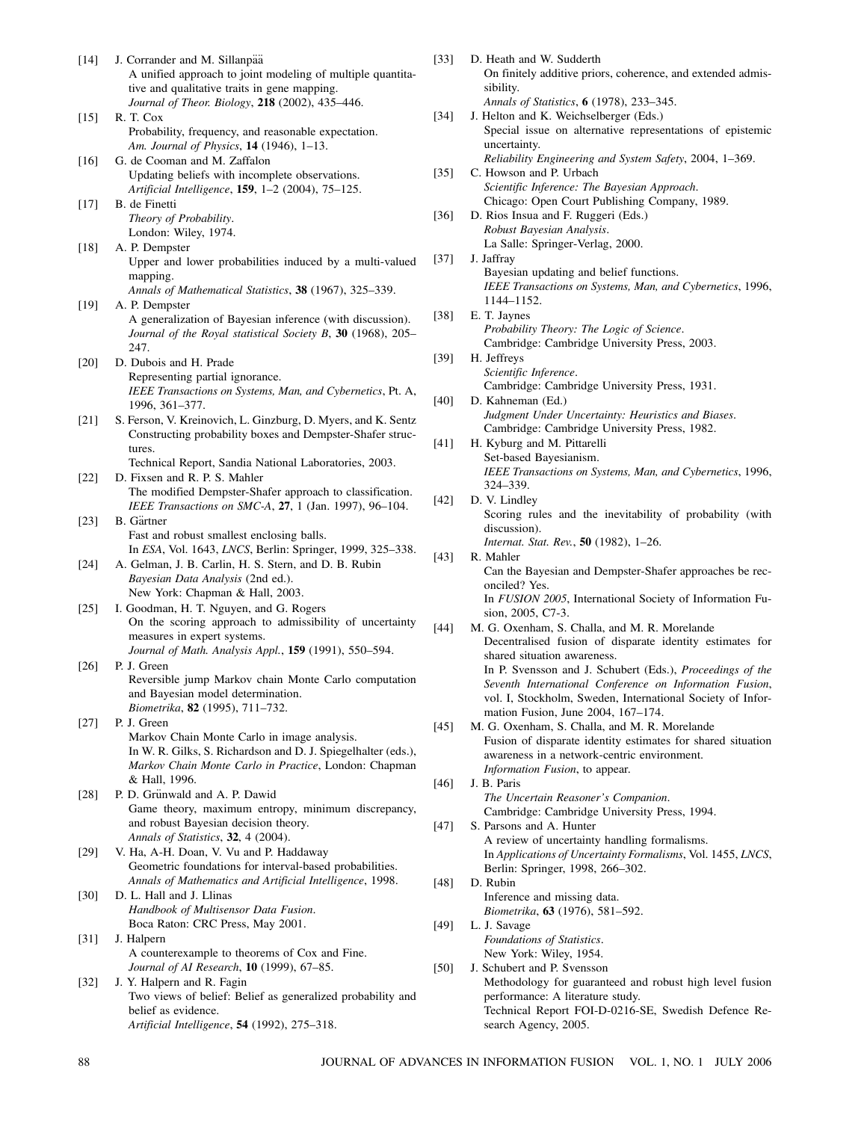- [14] J. Corrander and M. Sillanpää A unified approach to joint modeling of multiple quantitative and qualitative traits in gene mapping. *Journal of Theor. Biology*, **218** (2002), 435—446. [15] R. T. Cox Probability, frequency, and reasonable expectation. *Am. Journal of Physics*, **14** (1946), 1—13. [16] G. de Cooman and M. Zaffalon Updating beliefs with incomplete observations. *Artificial Intelligence*, **159**, 1—2 (2004), 75—125. [17] B. de Finetti *Theory of Probability*. London: Wiley, 1974. [18] A. P. Dempster Upper and lower probabilities induced by a multi-valued mapping. *Annals of Mathematical Statistics*, **38** (1967), 325—339. [19] A. P. Dempster A generalization of Bayesian inference (with discussion). *Journal of the Royal statistical Society B*, **30** (1968), 205— 247. [20] D. Dubois and H. Prade Representing partial ignorance. *IEEE Transactions on Systems, Man, and Cybernetics*, Pt. A, 1996, 361—377. [21] S. Ferson, V. Kreinovich, L. Ginzburg, D. Myers, and K. Sentz Constructing probability boxes and Dempster-Shafer structures. Technical Report, Sandia National Laboratories, 2003. [22] D. Fixsen and R. P. S. Mahler The modified Dempster-Shafer approach to classification. *IEEE Transactions on SMC-A*, **27**, 1 (Jan. 1997), 96—104.  $[23]$  B. Gärtner Fast and robust smallest enclosing balls. In *ESA*, Vol. 1643, *LNCS*, Berlin: Springer, 1999, 325—338. [24] A. Gelman, J. B. Carlin, H. S. Stern, and D. B. Rubin *Bayesian Data Analysis* (2nd ed.). New York: Chapman & Hall, 2003. [25] I. Goodman, H. T. Nguyen, and G. Rogers On the scoring approach to admissibility of uncertainty measures in expert systems. *Journal of Math. Analysis Appl.*, **159** (1991), 550—594. [26] P. J. Green Reversible jump Markov chain Monte Carlo computation and Bayesian model determination. *Biometrika*, **82** (1995), 711—732. [27] P. J. Green Markov Chain Monte Carlo in image analysis. In W. R. Gilks, S. Richardson and D. J. Spiegelhalter (eds.), *Markov Chain Monte Carlo in Practice*, London: Chapman & Hall, 1996. [28] P. D. Grünwald and A. P. Dawid Game theory, maximum entropy, minimum discrepancy, and robust Bayesian decision theory. *Annals of Statistics*, **32**, 4 (2004). [29] V. Ha, A-H. Doan, V. Vu and P. Haddaway Geometric foundations for interval-based probabilities. *Annals of Mathematics and Artificial Intelligence*, 1998. [30] D. L. Hall and J. Llinas *Handbook of Multisensor Data Fusion*. Boca Raton: CRC Press, May 2001. [31] J. Halpern A counterexample to theorems of Cox and Fine. *Journal of AI Research*, **10** (1999), 67—85. [32] J. Y. Halpern and R. Fagin Two views of belief: Belief as generalized probability and belief as evidence. *Artificial Intelligence*, **54** (1992), 275—318. [33] D. Heath and W. Sudderth sibility. uncertainty. [37] J. Jaffray 1144—1152. [38] E. T. Jaynes [39] H. Jeffreys 324—339. [42] D. V. Lindley discussion). [43] R. Mahler onciled? Yes. [46] J. B. Paris [48] D. Rubin [49] L. J. Savage
	- On finitely additive priors, coherence, and extended admis-*Annals of Statistics*, **6** (1978), 233—345. [34] J. Helton and K. Weichselberger (Eds.) Special issue on alternative representations of epistemic *Reliability Engineering and System Safety*, 2004, 1—369. [35] C. Howson and P. Urbach *Scientific Inference: The Bayesian Approach*. Chicago: Open Court Publishing Company, 1989. [36] D. Rios Insua and F. Ruggeri (Eds.) *Robust Bayesian Analysis*. La Salle: Springer-Verlag, 2000. Bayesian updating and belief functions. *IEEE Transactions on Systems, Man, and Cybernetics*, 1996, *Probability Theory: The Logic of Science*. Cambridge: Cambridge University Press, 2003. *Scientific Inference*. Cambridge: Cambridge University Press, 1931. [40] D. Kahneman (Ed.) *Judgment Under Uncertainty: Heuristics and Biases*. Cambridge: Cambridge University Press, 1982. [41] H. Kyburg and M. Pittarelli Set-based Bayesianism. *IEEE Transactions on Systems, Man, and Cybernetics*, 1996, Scoring rules and the inevitability of probability (with *Internat. Stat. Rev.*, **50** (1982), 1—26. Can the Bayesian and Dempster-Shafer approaches be rec-In *FUSION 2005*, International Society of Information Fusion, 2005, C7-3. [44] M. G. Oxenham, S. Challa, and M. R. Morelande Decentralised fusion of disparate identity estimates for shared situation awareness. In P. Svensson and J. Schubert (Eds.), *Proceedings of the Seventh International Conference on Information Fusion*, vol. I, Stockholm, Sweden, International Society of Information Fusion, June 2004, 167—174. [45] M. G. Oxenham, S. Challa, and M. R. Morelande Fusion of disparate identity estimates for shared situation awareness in a network-centric environment. *Information Fusion*, to appear. *The Uncertain Reasoner's Companion*. Cambridge: Cambridge University Press, 1994. [47] S. Parsons and A. Hunter A review of uncertainty handling formalisms. In *Applications of Uncertainty Formalisms*, Vol. 1455, *LNCS*, Berlin: Springer, 1998, 266—302. Inference and missing data. *Biometrika*, **63** (1976), 581—592. *Foundations of Statistics*. New York: Wiley, 1954. [50] J. Schubert and P. Svensson
	- Methodology for guaranteed and robust high level fusion performance: A literature study. Technical Report FOI-D-0216-SE, Swedish Defence Research Agency, 2005.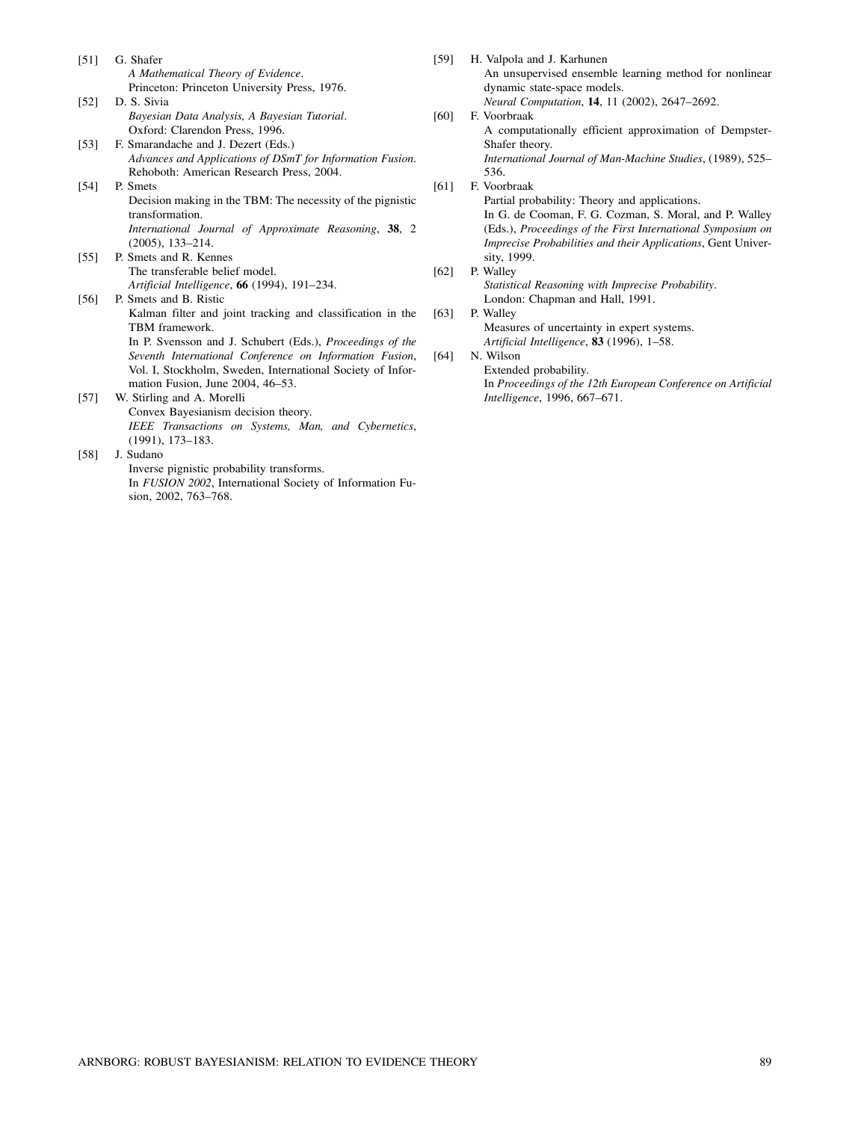- [51] G. Shafer *A Mathematical Theory of Evidence*. Princeton: Princeton University Press, 1976.
- [52] D. S. Sivia *Bayesian Data Analysis, A Bayesian Tutorial*. Oxford: Clarendon Press, 1996.
- [53] F. Smarandache and J. Dezert (Eds.) *Advances and Applications of DSmT for Information Fusion*. Rehoboth: American Research Press, 2004.
- [54] P. Smets Decision making in the TBM: The necessity of the pignistic transformation. *International Journal of Approximate Reasoning*, **38**, 2 (2005), 133—214.
- [55] P. Smets and R. Kennes The transferable belief model. *Artificial Intelligence*, **66** (1994), 191—234.

[56] P. Smets and B. Ristic Kalman filter and joint tracking and classification in the TBM framework. In P. Svensson and J. Schubert (Eds.), *Proceedings of the Seventh International Conference on Information Fusion*, Vol. I, Stockholm, Sweden, International Society of Information Fusion, June 2004, 46—53.

- [57] W. Stirling and A. Morelli Convex Bayesianism decision theory. *IEEE Transactions on Systems, Man, and Cybernetics*, (1991), 173—183.
- [58] J. Sudano Inverse pignistic probability transforms. In *FUSION 2002*, International Society of Information Fusion, 2002, 763—768.

[59] H. Valpola and J. Karhunen An unsupervised ensemble learning method for nonlinear dynamic state-space models. *Neural Computation*, **14**, 11 (2002), 2647—2692. [60] F. Voorbraak A computationally efficient approximation of Dempster-Shafer theory.

*International Journal of Man-Machine Studies*, (1989), 525— 536.

[61] F. Voorbraak

Partial probability: Theory and applications. In G. de Cooman, F. G. Cozman, S. Moral, and P. Walley (Eds.), *Proceedings of the First International Symposium on Imprecise Probabilities and their Applications*, Gent University, 1999.

- [62] P. Walley
	- *Statistical Reasoning with Imprecise Probability*. London: Chapman and Hall, 1991.

## [63] P. Walley

Measures of uncertainty in expert systems. *Artificial Intelligence*, **83** (1996), 1—58.

[64] N. Wilson

Extended probability. In *Proceedings of the 12th European Conference on Artificial Intelligence*, 1996, 667—671.